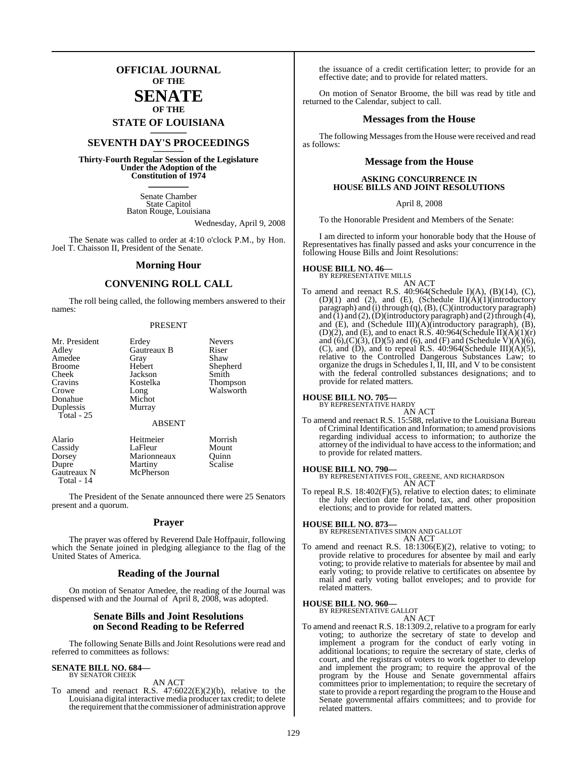## **OFFICIAL JOURNAL OF THE**

### **SENATE OF THE**

# **STATE OF LOUISIANA \_\_\_\_\_\_\_**

## **SEVENTH DAY'S PROCEEDINGS \_\_\_\_\_\_\_**

**Thirty-Fourth Regular Session of the Legislature Under the Adoption of the Constitution of 1974 \_\_\_\_\_\_\_**

> Senate Chamber State Capitol Baton Rouge, Louisiana

> > Wednesday, April 9, 2008

The Senate was called to order at 4:10 o'clock P.M., by Hon. Joel T. Chaisson II, President of the Senate.

#### **Morning Hour**

#### **CONVENING ROLL CALL**

The roll being called, the following members answered to their names:

#### PRESENT

| Mr. President | Erdey         | <b>Nevers</b>   |
|---------------|---------------|-----------------|
| Adley         | Gautreaux B   | Riser           |
| Amedee        | Gray          | Shaw            |
| <b>Broome</b> | Hebert        | Shepherd        |
| Cheek         | Jackson       | Smith           |
| Cravins       | Kostelka      | <b>Thompson</b> |
| Crowe         | Long          | Walsworth       |
| Donahue       | Michot        |                 |
| Duplessis     | Murray        |                 |
| Total - 25    |               |                 |
|               | <b>ABSENT</b> |                 |
| Alario        | Heitmeier     | Morrish         |
| Cassidy       | LaFleur       | Mount           |

Cassidy LaFleur Mount Dorsey Marionneaux Quinn<br>
Dupre Martiny Scalise Martiny<br>McPherson Gautreaux N Total - 14

The President of the Senate announced there were 25 Senators present and a quorum.

#### **Prayer**

The prayer was offered by Reverend Dale Hoffpauir, following which the Senate joined in pledging allegiance to the flag of the United States of America.

#### **Reading of the Journal**

On motion of Senator Amedee, the reading of the Journal was dispensed with and the Journal of April 8, 2008, was adopted.

#### **Senate Bills and Joint Resolutions on Second Reading to be Referred**

The following Senate Bills and Joint Resolutions were read and referred to committees as follows:

## **SENATE BILL NO. 684—** BY SENATOR CHEEK

AN ACT

To amend and reenact R.S. 47:6022(E)(2)(b), relative to the Louisiana digital interactive media producer tax credit; to delete the requirement that the commissioner of administration approve

the issuance of a credit certification letter; to provide for an effective date; and to provide for related matters.

On motion of Senator Broome, the bill was read by title and returned to the Calendar, subject to call.

#### **Messages from the House**

The following Messages from the House were received and read as follows:

#### **Message from the House**

#### **ASKING CONCURRENCE IN HOUSE BILLS AND JOINT RESOLUTIONS**

#### April 8, 2008

To the Honorable President and Members of the Senate:

I am directed to inform your honorable body that the House of Representatives has finally passed and asks your concurrence in the following House Bills and Joint Resolutions:

## **HOUSE BILL NO. 46—** BY REPRESENTATIVE MILLS

AN ACT To amend and reenact R.S. 40:964(Schedule I)(A), (B)(14), (C), (D)(1) and (2), and (E), (Schedule II)(A)(1)(introductory paragraph) and (i) through (q), (B), (C)(introductory paragraph) and  $(1)$  and  $(2)$ ,  $(D)$ (introductory paragraph) and  $(2)$  through  $(4)$ , and (E), and (Schedule III)(A)(introductory paragraph), (B), (D)(2), and (E), and to enact R.S.  $40:964$ (Schedule II) $(A)(1)(r)$ and  $(6)$ , $(C)(3)$ ,  $(D)(5)$  and  $(6)$ , and  $(F)$  and  $(Scheedule V)(A)(6)$ , (C), and (D), and to repeal R.S.  $40:964$ (Schedule III)(A)(5), relative to the Controlled Dangerous Substances Law; to organize the drugs in Schedules I, II, III, and V to be consistent with the federal controlled substances designations; and to provide for related matters.

#### **HOUSE BILL NO. 705—**

BY REPRESENTATIVE HARDY

AN ACT

To amend and reenact R.S. 15:588, relative to the Louisiana Bureau ofCriminal Identification and Information; to amend provisions regarding individual access to information; to authorize the attorney of the individual to have access to the information; and to provide for related matters.

**HOUSE BILL NO. 790—** BY REPRESENTATIVES FOIL, GREENE, AND RICHARDSON AN ACT

To repeal R.S. 18:402(F)(5), relative to election dates; to eliminate the July election date for bond, tax, and other proposition elections; and to provide for related matters.

#### **HOUSE BILL NO. 873—**

BY REPRESENTATIVES SIMON AND GALLOT AN ACT

To amend and reenact R.S. 18:1306(E)(2), relative to voting; to provide relative to procedures for absentee by mail and early voting; to provide relative to materials for absentee by mail and early voting; to provide relative to certificates on absentee by mail and early voting ballot envelopes; and to provide for related matters.

#### **HOUSE BILL NO. 960—**

BY REPRESENTATIVE GALLOT

AN ACT

To amend and reenact R.S. 18:1309.2, relative to a program for early voting; to authorize the secretary of state to develop and implement a program for the conduct of early voting in additional locations; to require the secretary of state, clerks of court, and the registrars of voters to work together to develop and implement the program; to require the approval of the program by the House and Senate governmental affairs committees prior to implementation; to require the secretary of state to provide a report regarding the program to the House and Senate governmental affairs committees; and to provide for related matters.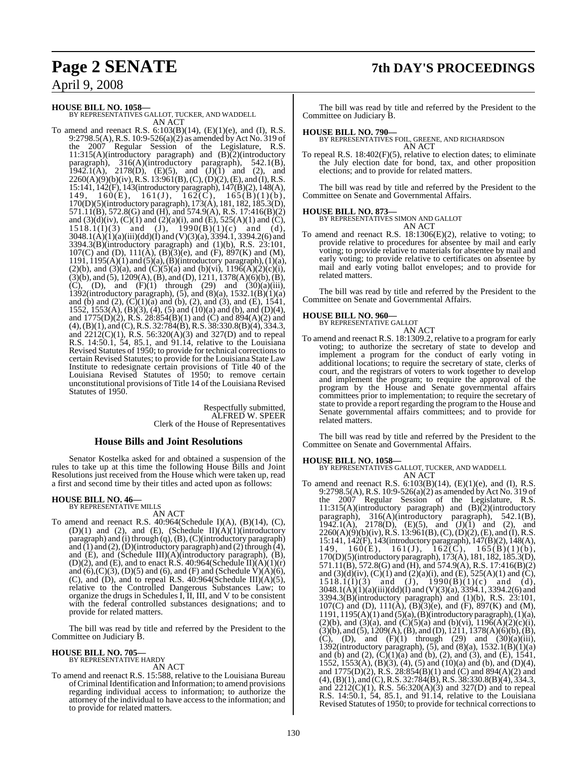## **Page 2 SENATE 7th DAY'S PROCEEDINGS**

## April 9, 2008

**HOUSE BILL NO. 1058—** BY REPRESENTATIVES GALLOT, TUCKER, AND WADDELL

AN ACT

To amend and reenact R.S. 6:103(B)(14), (E)(1)(e), and (I), R.S. 9:2798.5(A), R.S. 10:9-526(a)(2) as amended byAct No. 319 of the 2007 Regular Session of the Legislature, R.S. 11:315(A)(introductory paragraph) and (B)(2)(introductory paragraph), 316(A)(introductory paragraph), 542.1(B), 1942.1(A), 2178(D), (E)(5), and  $(J)(1)$  and (2), and  $2260(A)(9)(b)(iv)$ , R.S. 13:961(B), (C), (D)(2), (E), and (I), R.S. 15:141, 142(F), 143(introductory paragraph), 147(B)(2), 148(A), 149, 160(E), 161(J), 162(C), 165(B)(1)(b), 170(D)(5)(introductory paragraph), 173(A), 181, 182, 185.3(D), 571.11(B), 572.8(G) and (H), and 574.9(A), R.S. 17:416(B)(2) and  $(3)(d)(iv)$ ,  $(C)(1)$  and  $(2)(a)(i)$ , and  $(E)$ , 525 $(A)(1)$  and  $(C)$ ,  $1518.1(I)(3)$  and  $(J)$ ,  $1990(B)(1)(c)$  and  $(d)$ , 3048.1(A)(1)(a)(iii)(dd)(I) and (V)(3)(a), 3394.1, 3394.2(6) and 3394.3(B)(introductory paragraph) and (1)(b), R.S. 23:101, 107(C) and (D),  $111(A)$ ,  $(B)$  $(3)$  $(e)$ , and  $(F)$ ,  $897(K)$  and  $(M)$ , 1191, 1195(A)(1) and (5)(a), (B)(introductory paragraph), (1)(a), (2)(b), and (3)(a), and (C)(5)(a) and (b)(vi),  $119\tilde{6}(A)(2)(c)(i)$ ,  $(3)(b)$ , and  $(5)$ , 1209(A), (B), and (D), 1211, 1378(A)(6)(b), (B), (C), (D), and  $(F)(1)$  through (29) and  $(30)(a)(iii)$ , 1392(introductory paragraph),  $(5)$ , and  $(8)(a)$ ,  $1532.1(B)(1)(a)$ and (b) and (2),  $(C)(1)(a)$  and (b), (2), and (3), and (E), 1541, 1552, 1553(A), (B)(3), (4), (5) and (10)(a) and (b), and (D)(4), and 1775(D)(2), R.S. 28:854(B)(1) and (C) and 894(A)(2) and (4),(B)(1), and (C), R.S. 32:784(B), R.S. 38:330.8(B)(4), 334.3, and  $2212(C)(1)$ , R.S. 56:320(A)(3) and 327(D) and to repeal R.S. 14:50.1, 54, 85.1, and 91.14, relative to the Louisiana Revised Statutes of 1950; to provide for technical correctionsto certain Revised Statutes; to provide for the Louisiana State Law Institute to redesignate certain provisions of Title 40 of the Louisiana Revised Statutes of 1950; to remove certain unconstitutional provisions of Title 14 of the Louisiana Revised Statutes of 1950.

> Respectfully submitted, ALFRED W. SPEER Clerk of the House of Representatives

### **House Bills and Joint Resolutions**

Senator Kostelka asked for and obtained a suspension of the rules to take up at this time the following House Bills and Joint Resolutions just received from the House which were taken up, read a first and second time by their titles and acted upon as follows:

## **HOUSE BILL NO. 46—** BY REPRESENTATIVE MILLS

AN ACT

To amend and reenact R.S. 40:964(Schedule I)(A), (B)(14), (C), (D)(1) and (2), and (E), (Schedule II)(A)(1)(introductory paragraph) and (i) through (q), (B), (C)(introductory paragraph) and  $(1)$  and  $(2)$ ,  $(D)$ (introductory paragraph) and  $(2)$  through  $(4)$ , and (E), and (Schedule III)(A)(introductory paragraph), (B), (D)(2), and (E), and to enact R.S. 40:964(Schedule II)(A)(1)(r) and  $(6)$ , $(C)(3)$ ,  $(D)(5)$  and  $(6)$ , and  $(F)$  and  $(Scheedule V)(A)(6)$ , (C), and (D), and to repeal R.S.  $40:964$ (Schedule III)(A)(5), relative to the Controlled Dangerous Substances Law; to organize the drugs in Schedules I, II, III, and V to be consistent with the federal controlled substances designations; and to provide for related matters.

The bill was read by title and referred by the President to the Committee on Judiciary B.

## **HOUSE BILL NO. 705—** BY REPRESENTATIVE HARDY

AN ACT

To amend and reenact R.S. 15:588, relative to the Louisiana Bureau ofCriminalIdentification and Information; to amend provisions regarding individual access to information; to authorize the attorney of the individual to have access to the information; and to provide for related matters.

The bill was read by title and referred by the President to the Committee on Judiciary B.

**HOUSE BILL NO. 790—** BY REPRESENTATIVES FOIL, GREENE, AND RICHARDSON AN ACT

To repeal R.S. 18:402(F)(5), relative to election dates; to eliminate the July election date for bond, tax, and other proposition elections; and to provide for related matters.

The bill was read by title and referred by the President to the Committee on Senate and Governmental Affairs.

#### **HOUSE BILL NO. 873—**

BY REPRESENTATIVES SIMON AND GALLOT AN ACT

To amend and reenact R.S. 18:1306(E)(2), relative to voting; to provide relative to procedures for absentee by mail and early voting; to provide relative to materials for absentee by mail and early voting; to provide relative to certificates on absentee by mail and early voting ballot envelopes; and to provide for related matters.

The bill was read by title and referred by the President to the Committee on Senate and Governmental Affairs.

#### **HOUSE BILL NO. 960—**

BY REPRESENTATIVE GALLOT

- AN ACT
- To amend and reenact R.S. 18:1309.2, relative to a program for early voting; to authorize the secretary of state to develop and implement a program for the conduct of early voting in additional locations; to require the secretary of state, clerks of court, and the registrars of voters to work together to develop and implement the program; to require the approval of the program by the House and Senate governmental affairs committees prior to implementation; to require the secretary of state to provide a report regarding the program to the House and Senate governmental affairs committees; and to provide for related matters.

The bill was read by title and referred by the President to the Committee on Senate and Governmental Affairs.

**HOUSE BILL NO. 1058—** BY REPRESENTATIVES GALLOT, TUCKER, AND WADDELL AN ACT

To amend and reenact R.S. 6:103(B)(14), (E)(1)(e), and (I), R.S. 9:2798.5(A), R.S. 10:9-526(a)(2) as amended by Act No. 319 of the 2007 Regular Session of the Legislature, R.S. 11:315(A)(introductory paragraph) and (B)(2)(introductory paragraph), 316(A)(introductory paragraph), 542.1(B), 1942.1(A), 2178(D), (E)(5), and  $(J)(1)$  and (2), and  $2260(A)(9)(b)(iv)$ , R.S. 13:961(B), (C), (D)(2), (E), and (I), R.S. 15:141, 142(F), 143(introductory paragraph), 147(B)(2), 148(A), 149, 160(E), 161(J), 162(C), 165(B)(1)(b), 170(D)(5)(introductory paragraph), 173(A), 181, 182, 185.3(D), 571.11(B), 572.8(G) and (H), and 574.9(A), R.S. 17:416(B)(2) and  $(3)(d)(iv)$ ,  $(C)(1)$  and  $(2)(a)(i)$ , and  $(E)$ , 525(A)(1) and  $(C)$ ,  $1518.1(1)(3)$  and  $(J)$ ,  $1990(B)(1)(c)$  and  $(d)$ ,  $3048.1(A)(1)(a)(iii)(dd)(I)$  and  $(V)(3)(a), 3394.1, 3394.2(6)$  and 3394.3(B)(introductory paragraph) and (1)(b), R.S. 23:101, 107(C) and (D),  $111(A)$ ,  $(B)$  $(3)$  $(e)$ , and  $(F)$ ,  $897(K)$  and  $(M)$ , 1191,  $1195(\text{A})(1)$  and  $(5)(\text{a})$ ,  $(\text{B})(\text{introductory paragraph})$ ,  $(1)(\text{a})$ , (2)(b), and (3)(a), and (C)(5)(a) and (b)(vi),  $1196(A)(2)(c)(i)$ ,  $(3)(b)$ , and  $(5)$ , 1209(A), (B), and (D), 1211, 1378(A)(6)(b), (B), (C), (D), and  $(F)(1)$  through (29) and  $(30)(a)(iii)$ , 1392(introductory paragraph),  $(5)$ , and  $(8)(a)$ , 1532.1 $(B)(1)(a)$ and (b) and (2),  $(C)(1)(a)$  and (b), (2), and (3), and (E), 1541, 1552, 1553(A), (B)(3), (4), (5) and (10)(a) and (b), and (D)(4), and 1775(D)(2), R.S. 28:854(B)(1) and (C) and 894(A)(2) and (4), (B)(1), and (C), R.S. 32:784(B), R.S. 38:330.8(B)(4), 334.3, and 2212(C)(1), R.S. 56:320(A)(3) and 327(D) and to repeal R.S. 14:50.1, 54, 85.1, and 91.14, relative to the Louisiana Revised Statutes of 1950; to provide for technical correctionsto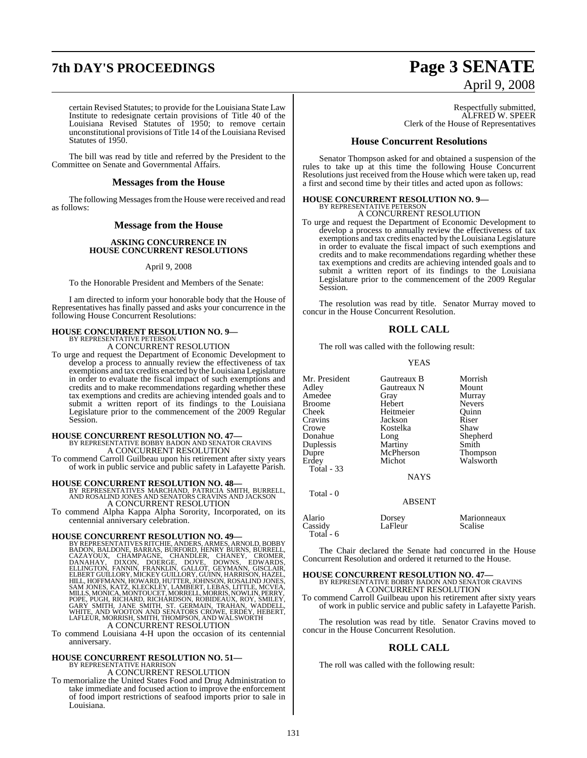## **7th DAY'S PROCEEDINGS Page 3 SENATE**

# April 9, 2008

certain Revised Statutes; to provide for the Louisiana State Law Institute to redesignate certain provisions of Title 40 of the Louisiana Revised Statutes of 1950; to remove certain unconstitutional provisions of Title 14 of the Louisiana Revised Statutes of 1950.

The bill was read by title and referred by the President to the Committee on Senate and Governmental Affairs.

#### **Messages from the House**

The following Messages from the House were received and read as follows:

#### **Message from the House**

#### **ASKING CONCURRENCE IN HOUSE CONCURRENT RESOLUTIONS**

#### April 9, 2008

To the Honorable President and Members of the Senate:

I am directed to inform your honorable body that the House of Representatives has finally passed and asks your concurrence in the following House Concurrent Resolutions:

# **HOUSE CONCURRENT RESOLUTION NO. 9—** BY REPRESENTATIVE PETERSON

A CONCURRENT RESOLUTION

To urge and request the Department of Economic Development to develop a process to annually review the effectiveness of tax exemptions and tax credits enacted by the Louisiana Legislature in order to evaluate the fiscal impact of such exemptions and credits and to make recommendations regarding whether these tax exemptions and credits are achieving intended goals and to submit a written report of its findings to the Louisiana Legislature prior to the commencement of the 2009 Regular Session.

## **HOUSE CONCURRENT RESOLUTION NO. 47—** BY REPRESENTATIVE BOBBY BADON AND SENATOR CRAVINS

A CONCURRENT RESOLUTION

To commend Carroll Guilbeau upon his retirement after sixty years of work in public service and public safety in Lafayette Parish.

**HOUSE CONCURRENT RESOLUTION NO. 48—** BY REPRESENTATIVES MARCHAND, PATRICIA SMITH, BURRELL, AND ROSALIND JONES AND SENATORS CRAVINS AND JACKSON A CONCURRENT RESOLUTION

To commend Alpha Kappa Alpha Sorority, Incorporated, on its centennial anniversary celebration.

HOUSE CONCURRENT RESOLUTION NO. 49-<br>BY REPRESENTATIVES RITCHIE, ANDERS, ARNOLD, BOBBY<br>BADON, BALDONE, BARRAS, BURFORD, HENRY BURNS, BURRELL,<br>CAZAYOUX, CHAMPAGNE, CHANDLER, CHANEY, CROMER,<br>DANAHAY, DIXON, DOBRGE, DOVE, DOWN

To commend Louisiana 4-H upon the occasion of its centennial anniversary.

## **HOUSE CONCURRENT RESOLUTION NO. 51—** BY REPRESENTATIVE HARRISON

A CONCURRENT RESOLUTION

To memorialize the United States Food and Drug Administration to take immediate and focused action to improve the enforcement of food import restrictions of seafood imports prior to sale in Louisiana.

Respectfully submitted, ALFRED W. SPEER Clerk of the House of Representatives

#### **House Concurrent Resolutions**

Senator Thompson asked for and obtained a suspension of the rules to take up at this time the following House Concurrent Resolutions just received from the House which were taken up, read a first and second time by their titles and acted upon as follows:

#### **HOUSE CONCURRENT RESOLUTION NO. 9—** BY REPRESENTATIVE PETERSON A CONCURRENT RESOLUTION

To urge and request the Department of Economic Development to develop a process to annually review the effectiveness of tax exemptions and tax credits enacted by the Louisiana Legislature in order to evaluate the fiscal impact of such exemptions and credits and to make recommendations regarding whether these tax exemptions and credits are achieving intended goals and to submit a written report of its findings to the Louisiana Legislature prior to the commencement of the 2009 Regular Session.

The resolution was read by title. Senator Murray moved to concur in the House Concurrent Resolution.

#### **ROLL CALL**

The roll was called with the following result:

#### YEAS

Mr. President Gautreaux B Morrish<br>Adlev Gautreaux N Mount Adley Gautreaux N<br>Amedee Gray Broome Hebert Nevers<br>
Cheek Heitmeier Quinn Cheek Heitmeier Quinn Cravins Jackson<br>Crowe Kostelka Crowe Kostelka Shaw Duplessis Martiny<br>
Dupre McPherson Dupre McPherson Thompson Total - 33

Total - 0

Gray Murray<br>Hebert Nevers Long Shepherd<br>
Martiny Smith

Walsworth

NAYS

### ABSENT

| Dorsey<br>LaFleur | Marionneaux<br>Scalise |
|-------------------|------------------------|
|                   |                        |

The Chair declared the Senate had concurred in the House Concurrent Resolution and ordered it returned to the House.

## **HOUSE CONCURRENT RESOLUTION NO. 47—** BY REPRESENTATIVE BOBBY BADON AND SENATOR CRAVINS A CONCURRENT RESOLUTION

To commend Carroll Guilbeau upon his retirement after sixty years of work in public service and public safety in Lafayette Parish.

The resolution was read by title. Senator Cravins moved to concur in the House Concurrent Resolution.

### **ROLL CALL**

The roll was called with the following result: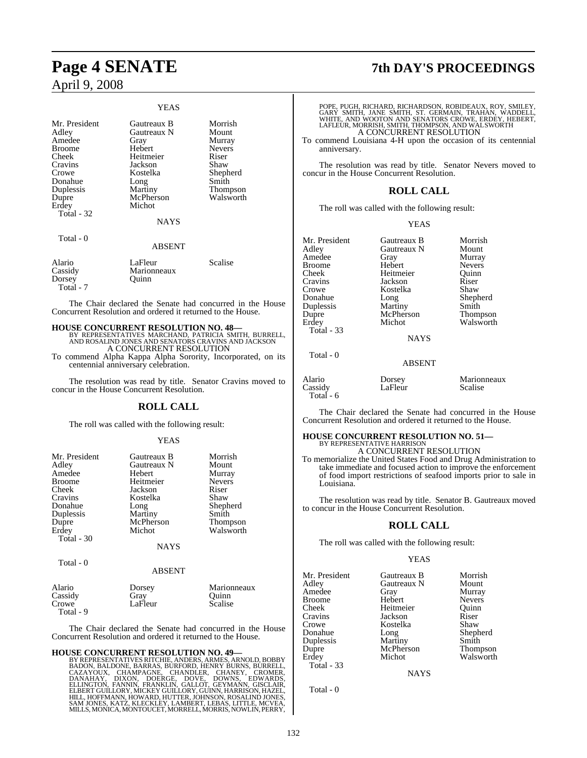#### YEAS

| Mr. President<br>Adley<br>Amedee<br><b>Broome</b><br><b>Cheek</b><br>Cravins<br>Crowe<br>Donahue<br>Duplessis<br>Dupre<br>Erdey<br>Total - 32 | Gautreaux B<br>Gautreaux N<br>Gray<br>Hebert<br>Heitmeier<br>Jackson<br>Kostelka<br>Long<br>Martiny<br>McPherson<br>Michot | Morrish<br>Mount<br>Murray<br><b>Nevers</b><br>Riser<br>Shaw<br>Shepherd<br>Smith<br>Thompson<br>Walsworth |
|-----------------------------------------------------------------------------------------------------------------------------------------------|----------------------------------------------------------------------------------------------------------------------------|------------------------------------------------------------------------------------------------------------|
|                                                                                                                                               | <b>NAYS</b>                                                                                                                |                                                                                                            |
| Total - 0                                                                                                                                     | <b>ABSENT</b>                                                                                                              |                                                                                                            |
| Alario<br>Cassidy<br>Dorsey                                                                                                                   | LaFleur<br>Marionneaux<br>Ouinn                                                                                            | Scalise                                                                                                    |

The Chair declared the Senate had concurred in the House Concurrent Resolution and ordered it returned to the House.

**HOUSE CONCURRENT RESOLUTION NO. 48—** BY REPRESENTATIVES MARCHAND, PATRICIA SMITH, BURRELL, AND ROSALIND JONES AND SENATORS CRAVINS AND JACKSON A CONCURRENT RESOLUTION

To commend Alpha Kappa Alpha Sorority, Incorporated, on its centennial anniversary celebration.

The resolution was read by title. Senator Cravins moved to concur in the House Concurrent Resolution.

#### **ROLL CALL**

The roll was called with the following result:

#### YEAS

| Mr. President | Gautreaux B | Morrish       |
|---------------|-------------|---------------|
| Adley         | Gautreaux N | Mount         |
| Amedee        | Hebert      | Murray        |
| <b>Broome</b> | Heitmeier   | <b>Nevers</b> |
| Cheek         | Jackson     | Riser         |
| Cravins       | Kostelka    | Shaw          |
| Donahue       | Long        | Shepherd      |
| Duplessis     | Martiny     | Smith         |
| Dupre         | McPherson   | Thompson      |
| Erdey         | Michot      | Walsworth     |
| Total $-30$   |             |               |
|               | <b>NAYS</b> |               |

Total - 0

Total - 7

#### ABSENT

| Alario    | Dorsey  | Marionneaux |
|-----------|---------|-------------|
| Cassidy   | Grav    | Ouinn       |
| Crowe     | LaFleur | Scalise     |
| Total - 9 |         |             |

The Chair declared the Senate had concurred in the House Concurrent Resolution and ordered it returned to the House.

#### **HOUSE CONCURRENT RESOLUTION NO. 49—**

BY REPRESENTATIVES RITCHIE, ANDERS, ARMES, ARNOLD, BOBBY,<br>BADON, BALDONE, BARRAS, BURFORD, HENRY BURNS, BURRELL,<br>CAZAYOUX, CHAMPAGNE, CHANDLER, CHANEY, CROMER,<br>ELLINGTON, FANNIN, FRANKLIN, GALLOT, GEYMANN, GISCLAIR,<br>ELLING MILLS, MONICA, MONTOUCET, MORRELL, MORRIS, NOWLIN, PERRY,

## **Page 4 SENATE 7th DAY'S PROCEEDINGS**

POPE, PUGH, RICHARD, RICHARDSON, ROBIDEAUX, ROY, SMILEY,<br>GARY SMITH, JANE SMITH, ST. GERMAIN, TRAHAN, WADDELL,<br>WHITE, AND WOOTON AND SENATORS CROWE, ERDEY, HEBERT,<br>LAFLEUR, MORRISH, SMITH, THOMPSON, AND WALSWORTH A CONCURRENT RESOLUTION

To commend Louisiana 4-H upon the occasion of its centennial anniversary.

The resolution was read by title. Senator Nevers moved to concur in the House Concurrent Resolution.

#### **ROLL CALL**

The roll was called with the following result:

#### YEAS

| Mr. President | Gautreaux B | Morrish         |
|---------------|-------------|-----------------|
| Adley         | Gautreaux N | Mount           |
| Amedee        | Gray        | Murray          |
| <b>Broome</b> | Hebert      | <b>Nevers</b>   |
| Cheek         | Heitmeier   | Ouinn           |
| Cravins       | Jackson     | Riser           |
| Crowe         | Kostelka    | Shaw            |
| Donahue       | Long        | Shepherd        |
| Duplessis     | Martiny     | Smith           |
| Dupre         | McPherson   | <b>Thompson</b> |
| Erdey         | Michot      | Walswort        |
| Total - 33    |             |                 |

**NAYS** 

#### ABSENT

Alario Dorsey Marionneaux Cassidy Total - 6

Total - 0

| eur | Scalise |  |
|-----|---------|--|
|     |         |  |
|     |         |  |

The Chair declared the Senate had concurred in the House Concurrent Resolution and ordered it returned to the House.

#### **HOUSE CONCURRENT RESOLUTION NO. 51—** BY REPRESENTATIVE HARRISON

A CONCURRENT RESOLUTION

To memorialize the United States Food and Drug Administration to take immediate and focused action to improve the enforcement of food import restrictions of seafood imports prior to sale in Louisiana.

The resolution was read by title. Senator B. Gautreaux moved to concur in the House Concurrent Resolution.

#### **ROLL CALL**

The roll was called with the following result:

#### YEAS

| Mr. President | Gautreaux B | Morrish       |
|---------------|-------------|---------------|
| Adley         | Gautreaux N | Mount         |
| Amedee        | Gray        | Murray        |
| Broome        | Hebert      | <b>Nevers</b> |
| Cheek         | Heitmeier   | Ouinn         |
| Cravins       | Jackson     | Riser         |
| Crowe         | Kostelka    | Shaw          |
| Donahue       | Long        | Shepherd      |
| Duplessis     | Martiny     | Smith         |
| Dupre         | McPherson   | Thompson      |
| Erdev         | Michot      | Walsworth     |
| Total - 33    |             |               |
|               | <b>NAYS</b> |               |

Total - 0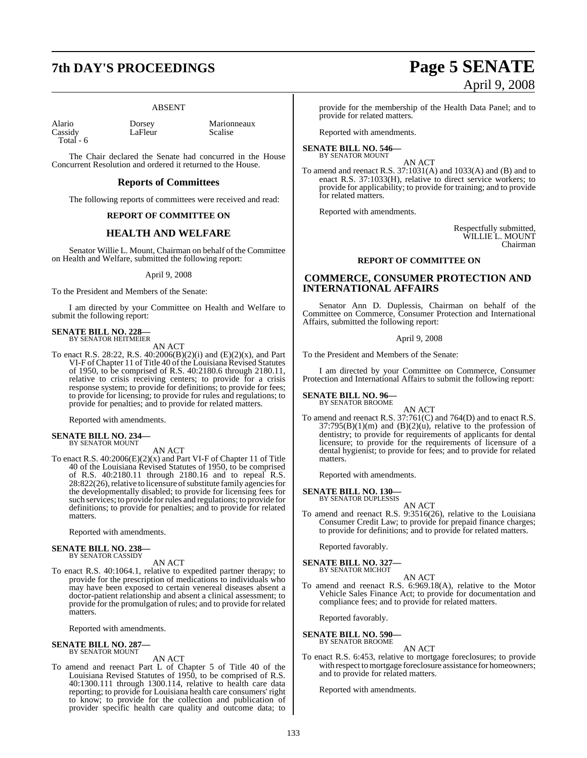## **7th DAY'S PROCEEDINGS Page 5 SENATE**

#### ABSENT

Alario Dorsey Marionneaux Total - 6

LaFleur

The Chair declared the Senate had concurred in the House Concurrent Resolution and ordered it returned to the House.

#### **Reports of Committees**

The following reports of committees were received and read:

#### **REPORT OF COMMITTEE ON**

### **HEALTH AND WELFARE**

Senator Willie L. Mount, Chairman on behalf of the Committee on Health and Welfare, submitted the following report:

#### April 9, 2008

To the President and Members of the Senate:

I am directed by your Committee on Health and Welfare to submit the following report:

## **SENATE BILL NO. 228—** BY SENATOR HEITMEIER

AN ACT

To enact R.S. 28:22, R.S. 40:2006(B)(2)(i) and (E)(2)(x), and Part VI-F ofChapter 11 of Title 40 of the Louisiana Revised Statutes of 1950, to be comprised of R.S. 40:2180.6 through 2180.11, relative to crisis receiving centers; to provide for a crisis response system; to provide for definitions; to provide for fees; to provide for licensing; to provide for rules and regulations; to provide for penalties; and to provide for related matters.

Reported with amendments.

## **SENATE BILL NO. 234—** BY SENATOR MOUNT

AN ACT

To enact R.S. 40:2006(E)(2)(x) and Part VI-F of Chapter 11 of Title 40 of the Louisiana Revised Statutes of 1950, to be comprised of R.S. 40:2180.11 through 2180.16 and to repeal R.S. 28:822(26), relative to licensure of substitute family agencies for the developmentally disabled; to provide for licensing fees for such services; to provide forrules and regulations; to provide for definitions; to provide for penalties; and to provide for related matters.

Reported with amendments.

## **SENATE BILL NO. 238—** BY SENATOR CASSIDY

AN ACT

To enact R.S. 40:1064.1, relative to expedited partner therapy; to provide for the prescription of medications to individuals who may have been exposed to certain venereal diseases absent a doctor-patient relationship and absent a clinical assessment; to provide for the promulgation of rules; and to provide for related matters.

Reported with amendments.

#### **SENATE BILL NO. 287—** BY SENATOR MOUNT

AN ACT

To amend and reenact Part L of Chapter 5 of Title 40 of the Louisiana Revised Statutes of 1950, to be comprised of R.S. 40:1300.111 through 1300.114, relative to health care data reporting; to provide for Louisiana health care consumers' right to know; to provide for the collection and publication of provider specific health care quality and outcome data; to

# April 9, 2008

provide for the membership of the Health Data Panel; and to provide for related matters.

Reported with amendments.

#### **SENATE BILL NO. 546—** BY SENATOR MOUNT

AN ACT

To amend and reenact R.S. 37:1031(A) and 1033(A) and (B) and to enact R.S. 37:1033(H), relative to direct service workers; to provide for applicability; to provide for training; and to provide for related matters.

Reported with amendments.

Respectfully submitted, WILLIE L. MOUNT Chairman

#### **REPORT OF COMMITTEE ON**

#### **COMMERCE, CONSUMER PROTECTION AND INTERNATIONAL AFFAIRS**

Senator Ann D. Duplessis, Chairman on behalf of the Committee on Commerce, Consumer Protection and International Affairs, submitted the following report:

#### April 9, 2008

To the President and Members of the Senate:

I am directed by your Committee on Commerce, Consumer Protection and International Affairs to submit the following report:

## **SENATE BILL NO. 96—** BY SENATOR BROOME

AN ACT

To amend and reenact R.S. 37:761(C) and 764(D) and to enact R.S.  $37:795(B)(1)(m)$  and  $(B)(2)(u)$ , relative to the profession of dentistry; to provide for requirements of applicants for dental licensure; to provide for the requirements of licensure of a dental hygienist; to provide for fees; and to provide for related matters.

Reported with amendments.

## **SENATE BILL NO. 130—** BY SENATOR DUPLESSIS

AN ACT

To amend and reenact R.S. 9:3516(26), relative to the Louisiana Consumer Credit Law; to provide for prepaid finance charges; to provide for definitions; and to provide for related matters.

Reported favorably.

#### **SENATE BILL NO. 327** BY SENATOR MICHOT

AN ACT

To amend and reenact R.S. 6:969.18(A), relative to the Motor Vehicle Sales Finance Act; to provide for documentation and compliance fees; and to provide for related matters.

Reported favorably.

#### **SENATE BILL NO. 590—** BY SENATOR BROOME

AN ACT

To enact R.S. 6:453, relative to mortgage foreclosures; to provide with respect to mortgage foreclosure assistance for homeowners; and to provide for related matters.

Reported with amendments.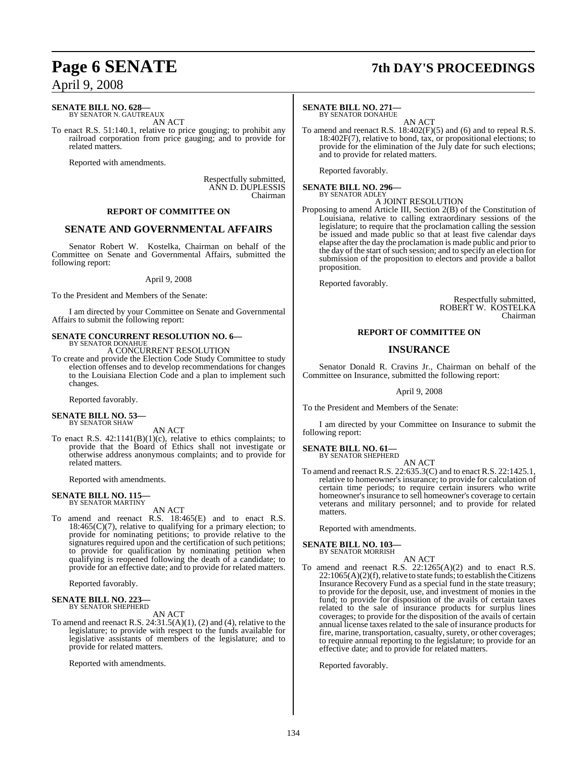### **SENATE BILL NO. 628—**

BY SENATOR N. GAUTREAUX AN ACT

To enact R.S. 51:140.1, relative to price gouging; to prohibit any railroad corporation from price gauging; and to provide for related matters.

Reported with amendments.

Respectfully submitted, ANN D. DUPLESSIS Chairman

#### **REPORT OF COMMITTEE ON**

#### **SENATE AND GOVERNMENTAL AFFAIRS**

Senator Robert W. Kostelka, Chairman on behalf of the Committee on Senate and Governmental Affairs, submitted the following report:

#### April 9, 2008

To the President and Members of the Senate:

I am directed by your Committee on Senate and Governmental Affairs to submit the following report:

## **SENATE CONCURRENT RESOLUTION NO. 6—** BY SENATOR DONAHUE

A CONCURRENT RESOLUTION

To create and provide the Election Code Study Committee to study election offenses and to develop recommendations for changes to the Louisiana Election Code and a plan to implement such changes.

Reported favorably.

#### **SENATE BILL NO. 53—** BY SENATOR SHAW

AN ACT

To enact R.S. 42:1141(B)(1)(c), relative to ethics complaints; to provide that the Board of Ethics shall not investigate or otherwise address anonymous complaints; and to provide for related matters.

Reported with amendments.

## **SENATE BILL NO. 115—** BY SENATOR MARTINY

AN ACT

To amend and reenact R.S. 18:465(E) and to enact R.S.  $18:465(C)(7)$ , relative to qualifying for a primary election; to provide for nominating petitions; to provide relative to the signatures required upon and the certification of such petitions; to provide for qualification by nominating petition when qualifying is reopened following the death of a candidate; to provide for an effective date; and to provide for related matters.

Reported favorably.

## **SENATE BILL NO. 223—** BY SENATOR SHEPHERD

AN ACT

To amend and reenact R.S. 24:31.5(A)(1), (2) and (4), relative to the legislature; to provide with respect to the funds available for legislative assistants of members of the legislature; and to provide for related matters.

Reported with amendments.

## **Page 6 SENATE 7th DAY'S PROCEEDINGS**

#### **SENATE BILL NO. 271—**

BY SENATOR DONAHUE

AN ACT To amend and reenact R.S. 18:402(F)(5) and (6) and to repeal R.S. 18:402F(7), relative to bond, tax, or propositional elections; to provide for the elimination of the July date for such elections; and to provide for related matters.

Reported favorably.

## **SENATE BILL NO. 296—** BY SENATOR ADLEY

A JOINT RESOLUTION

Proposing to amend Article III, Section 2(B) of the Constitution of Louisiana, relative to calling extraordinary sessions of the legislature; to require that the proclamation calling the session be issued and made public so that at least five calendar days elapse after the day the proclamation is made public and prior to the day of the start of such session; and to specify an election for submission of the proposition to electors and provide a ballot proposition.

Reported favorably.

Respectfully submitted, ROBERT W. KOSTELKA Chairman

#### **REPORT OF COMMITTEE ON**

#### **INSURANCE**

Senator Donald R. Cravins Jr., Chairman on behalf of the Committee on Insurance, submitted the following report:

April 9, 2008

To the President and Members of the Senate:

I am directed by your Committee on Insurance to submit the following report:

#### **SENATE BILL NO. 61—**

BY SENATOR SHEPHERD AN ACT

To amend and reenact R.S. 22:635.3(C) and to enact R.S. 22:1425.1, relative to homeowner's insurance; to provide for calculation of certain time periods; to require certain insurers who write homeowner's insurance to sell homeowner's coverage to certain veterans and military personnel; and to provide for related matters.

Reported with amendments.

#### **SENATE BILL NO. 103—** BY SENATOR MORRISH

AN ACT To amend and reenact R.S. 22:1265(A)(2) and to enact R.S.  $22:1065(A)(2)(f)$ , relative to state funds; to establish the Citizens Insurance Recovery Fund as a special fund in the state treasury; to provide for the deposit, use, and investment of monies in the fund; to provide for disposition of the avails of certain taxes related to the sale of insurance products for surplus lines coverages; to provide for the disposition of the avails of certain annual license taxes related to the sale of insurance products for fire, marine, transportation, casualty, surety, or other coverages; to require annual reporting to the legislature; to provide for an effective date; and to provide for related matters.

Reported favorably.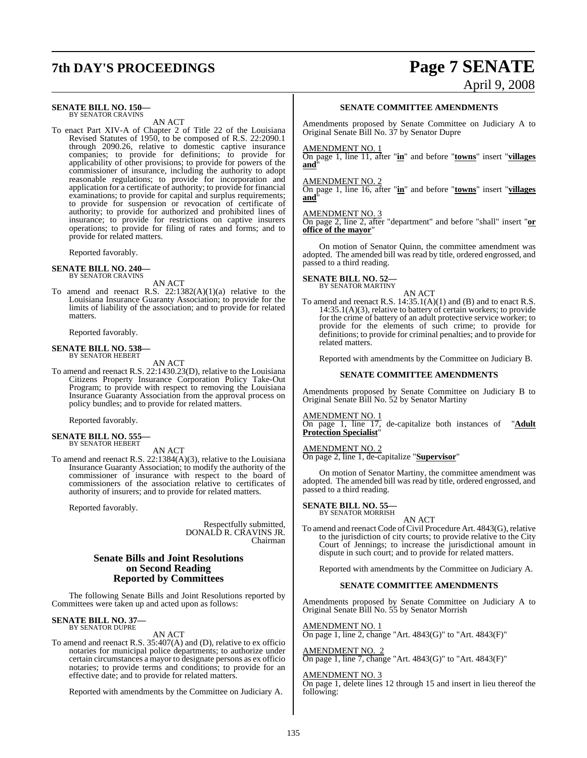## **7th DAY'S PROCEEDINGS Page 7 SENATE**

# April 9, 2008

#### **SENATE BILL NO. 150—** BY SENATOR CRAVINS

AN ACT

To enact Part XIV-A of Chapter 2 of Title 22 of the Louisiana Revised Statutes of 1950, to be composed of R.S. 22:2090.1 through 2090.26, relative to domestic captive insurance companies; to provide for definitions; to provide for applicability of other provisions; to provide for powers of the commissioner of insurance, including the authority to adopt reasonable regulations; to provide for incorporation and application for a certificate of authority; to provide for financial examinations; to provide for capital and surplus requirements; to provide for suspension or revocation of certificate of authority; to provide for authorized and prohibited lines of insurance; to provide for restrictions on captive insurers operations; to provide for filing of rates and forms; and to provide for related matters.

Reported favorably.

## **SENATE BILL NO. 240—** BY SENATOR CRAVINS

AN ACT

To amend and reenact R.S.  $22:1382(A)(1)(a)$  relative to the Louisiana Insurance Guaranty Association; to provide for the limits of liability of the association; and to provide for related matters.

Reported favorably.

## **SENATE BILL NO. 538—** BY SENATOR HEBERT

AN ACT

To amend and reenact R.S. 22:1430.23(D), relative to the Louisiana Citizens Property Insurance Corporation Policy Take-Out Program; to provide with respect to removing the Louisiana Insurance Guaranty Association from the approval process on policy bundles; and to provide for related matters.

Reported favorably.

#### **SENATE BILL NO. 555—** BY SENATOR HEBERT

AN ACT

To amend and reenact R.S. 22:1384(A)(3), relative to the Louisiana Insurance Guaranty Association; to modify the authority of the commissioner of insurance with respect to the board of commissioners of the association relative to certificates of authority of insurers; and to provide for related matters.

Reported favorably.

Respectfully submitted, DONALD R. CRAVINS JR. Chairman

#### **Senate Bills and Joint Resolutions on Second Reading Reported by Committees**

The following Senate Bills and Joint Resolutions reported by Committees were taken up and acted upon as follows:

## **SENATE BILL NO. 37—** BY SENATOR DUPRE

AN ACT

To amend and reenact R.S. 35:407(A) and (D), relative to ex officio notaries for municipal police departments; to authorize under certain circumstances a mayor to designate persons as ex officio notaries; to provide terms and conditions; to provide for an effective date; and to provide for related matters.

Reported with amendments by the Committee on Judiciary A.

#### **SENATE COMMITTEE AMENDMENTS**

Amendments proposed by Senate Committee on Judiciary A to Original Senate Bill No. 37 by Senator Dupre

#### AMENDMENT NO. 1

On page 1, line 11, after "**in**" and before "**towns**" insert "**villages and**"

#### AMENDMENT NO. 2

On page 1, line 16, after "**in**" and before "**towns**" insert "**villages and**"

#### AMENDMENT NO. 3

On page 2, line 2, after "department" and before "shall" insert "**or office of the mayor**"

On motion of Senator Quinn, the committee amendment was adopted. The amended bill was read by title, ordered engrossed, and passed to a third reading.

#### **SENATE BILL NO. 52—** BY SENATOR MARTINY

AN ACT

To amend and reenact R.S. 14:35.1(A)(1) and (B) and to enact R.S. 14:35.1(A)(3), relative to battery of certain workers; to provide for the crime of battery of an adult protective service worker; to provide for the elements of such crime; to provide for definitions; to provide for criminal penalties; and to provide for related matters.

Reported with amendments by the Committee on Judiciary B.

#### **SENATE COMMITTEE AMENDMENTS**

Amendments proposed by Senate Committee on Judiciary B to Original Senate Bill No. 52 by Senator Martiny

AMENDMENT NO. 1

On page 1, line 17, de-capitalize both instances of "**Adult Protection Specialist**"

#### AMENDMENT NO. 2

On page 2, line 1, de-capitalize "**Supervisor**"

On motion of Senator Martiny, the committee amendment was adopted. The amended bill was read by title, ordered engrossed, and passed to a third reading.

## **SENATE BILL NO. 55—** BY SENATOR MORRISH

AN ACT

To amend and reenact Code of Civil Procedure Art. 4843(G), relative to the jurisdiction of city courts; to provide relative to the City Court of Jennings; to increase the jurisdictional amount in dispute in such court; and to provide for related matters.

Reported with amendments by the Committee on Judiciary A.

#### **SENATE COMMITTEE AMENDMENTS**

Amendments proposed by Senate Committee on Judiciary A to Original Senate Bill No. 55 by Senator Morrish

#### AMENDMENT NO. 1

On page 1, line 2, change "Art. 4843(G)" to "Art. 4843(F)"

#### AMENDMENT NO. 2

On page 1, line 7, change "Art. 4843(G)" to "Art. 4843(F)"

#### AMENDMENT NO. 3

On page 1, delete lines 12 through 15 and insert in lieu thereof the following: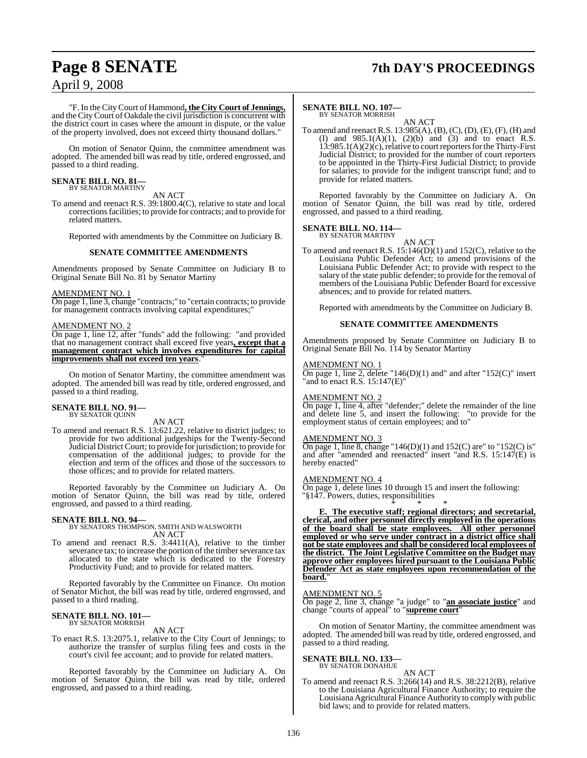## **Page 8 SENATE 7th DAY'S PROCEEDINGS**

"F. In the CityCourt of Hammond**, the City Court of Jennings,** and the CityCourt of Oakdale the civil jurisdiction is concurrent with the district court in cases where the amount in dispute, or the value of the property involved, does not exceed thirty thousand dollars."

On motion of Senator Quinn, the committee amendment was adopted. The amended bill was read by title, ordered engrossed, and passed to a third reading.

#### **SENATE BILL NO. 81—** BY SENATOR MARTINY

AN ACT

To amend and reenact R.S. 39:1800.4(C), relative to state and local corrections facilities; to provide for contracts; and to provide for related matters.

Reported with amendments by the Committee on Judiciary B.

#### **SENATE COMMITTEE AMENDMENTS**

Amendments proposed by Senate Committee on Judiciary B to Original Senate Bill No. 81 by Senator Martiny

#### AMENDMENT NO. 1

On page 1, line 3, change "contracts;" to "certain contracts; to provide for management contracts involving capital expenditures;

#### AMENDMENT NO. 2

On page 1, line 12, after "funds" add the following: "and provided that no management contract shall exceed five years**, except that a management contract which involves expenditures for capital improvements shall not exceed ten years.** 

On motion of Senator Martiny, the committee amendment was adopted. The amended bill was read by title, ordered engrossed, and passed to a third reading.

#### **SENATE BILL NO. 91—** BY SENATOR QUINN

AN ACT

To amend and reenact R.S. 13:621.22, relative to district judges; to provide for two additional judgeships for the Twenty-Second Judicial District Court; to provide forjurisdiction; to provide for compensation of the additional judges; to provide for the election and term of the offices and those of the successors to those offices; and to provide for related matters.

Reported favorably by the Committee on Judiciary A. On motion of Senator Quinn, the bill was read by title, ordered engrossed, and passed to a third reading.

**SENATE BILL NO. 94—** BY SENATORS THOMPSON, SMITH AND WALSWORTH AN ACT

To amend and reenact R.S. 3:4411(A), relative to the timber severance tax; to increase the portion of the timber severance tax allocated to the state which is dedicated to the Forestry Productivity Fund; and to provide for related matters.

Reported favorably by the Committee on Finance. On motion of Senator Michot, the bill was read by title, ordered engrossed, and passed to a third reading.

#### **SENATE BILL NO. 101** BY SENATOR MORRISH

#### AN ACT

To enact R.S. 13:2075.1, relative to the City Court of Jennings; to authorize the transfer of surplus filing fees and costs in the court's civil fee account; and to provide for related matters.

Reported favorably by the Committee on Judiciary A. On motion of Senator Quinn, the bill was read by title, ordered engrossed, and passed to a third reading.

#### **SENATE BILL NO. 107—** BY SENATOR MORRISH

AN ACT

To amend and reenact R.S.  $13:985(A), (B), (C), (D), (E), (F), (H)$  and (I) and  $985.1(A)(1)$ ,  $(2)(b)$  and  $(3)$  and to enact R.S.  $13:985.1(A)(2)(c)$ , relative to court reporters for the Thirty-First Judicial District; to provided for the number of court reporters to be appointed in the Thirty-First Judicial District; to provide for salaries; to provide for the indigent transcript fund; and to provide for related matters.

Reported favorably by the Committee on Judiciary A. On motion of Senator Quinn, the bill was read by title, ordered engrossed, and passed to a third reading.

#### **SENATE BILL NO. 114—**

BY SENATOR MARTINY

AN ACT To amend and reenact R.S. 15:146(D)(1) and 152(C), relative to the Louisiana Public Defender Act; to amend provisions of the Louisiana Public Defender Act; to provide with respect to the salary of the state public defender; to provide for the removal of members of the Louisiana Public Defender Board for excessive absences; and to provide for related matters.

Reported with amendments by the Committee on Judiciary B.

#### **SENATE COMMITTEE AMENDMENTS**

Amendments proposed by Senate Committee on Judiciary B to Original Senate Bill No. 114 by Senator Martiny

#### AMENDMENT NO. 1

On page 1, line 2, delete "146(D)(1) and" and after "152(C)" insert "and to enact R.S. 15:147(E)"

#### AMENDMENT NO. 2

On page 1, line 4, after "defender;" delete the remainder of the line and delete line 5, and insert the following: "to provide for the employment status of certain employees; and to"

#### AMENDMENT NO. 3

On page 1, line 8, change "146(D)(1) and 152(C) are " to "152(C) is" and after "amended and reenacted" insert "and R.S. 15:147(E) is hereby enacted"

#### AMENDMENT NO. 4

On page 1, delete lines 10 through 15 and insert the following: "§147. Powers, duties, responsibilities

\* \* \* **E. The executive staff; regional directors; and secretarial, clerical, and other personnel directly employed in the operations of the board shall be state employees. All other personnel employed or who serve under contract in a district office shall not be state employees and shall be considered local employees of the district. The Joint Legislative Committee on the Budget may approve other employees hired pursuant to the Louisiana Public Defender Act as state employees upon recommendation of the board.**"

#### AMENDMENT NO. 5

On page 2, line 3, change "a judge" to "**an associate justice**" and change "courts of appeal" to "**supreme court**"

On motion of Senator Martiny, the committee amendment was adopted. The amended bill was read by title, ordered engrossed, and passed to a third reading.

#### **SENATE BILL NO. 133—** BY SENATOR DONAHUE

AN ACT

To amend and reenact R.S. 3:266(14) and R.S. 38:2212(B), relative to the Louisiana Agricultural Finance Authority; to require the Louisiana Agricultural Finance Authority to complywith public bid laws; and to provide for related matters.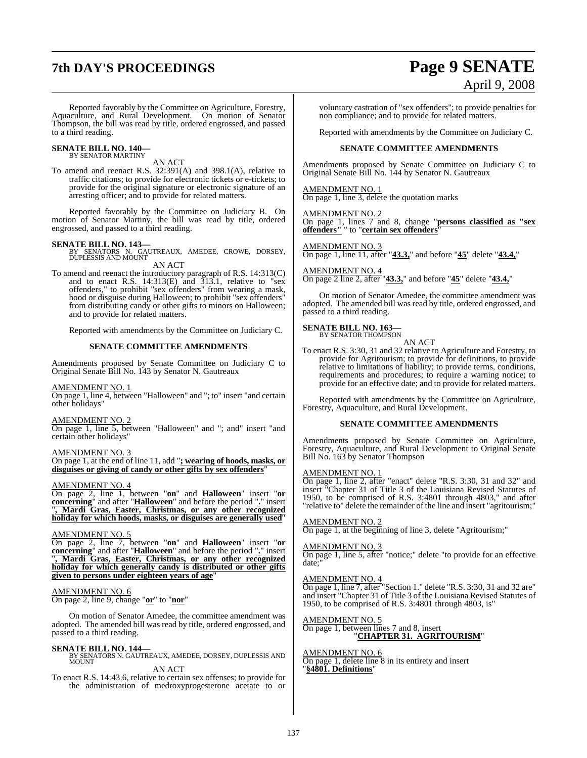## **7th DAY'S PROCEEDINGS Page 9 SENATE**

# April 9, 2008

Reported favorably by the Committee on Agriculture, Forestry, Aquaculture, and Rural Development. On motion of Senator Thompson, the bill was read by title, ordered engrossed, and passed to a third reading.

#### **SENATE BILL NO. 140—** BY SENATOR MARTINY

AN ACT

To amend and reenact R.S. 32:391(A) and 398.1(A), relative to traffic citations; to provide for electronic tickets or e-tickets; to provide for the original signature or electronic signature of an arresting officer; and to provide for related matters.

Reported favorably by the Committee on Judiciary B. On motion of Senator Martiny, the bill was read by title, ordered engrossed, and passed to a third reading.

**SENATE BILL NO. 143—**<br>BY SENATORS N. GAUTREAUX, AMEDEE, CROWE, DORSEY, DUPLESSIS AND MOUNT AN ACT

To amend and reenact the introductory paragraph of R.S. 14:313(C) and to enact R.S. 14:313(E) and 313.1, relative to "sex offenders," to prohibit "sex offenders" from wearing a mask, hood or disguise during Halloween; to prohibit "sex offenders" from distributing candy or other gifts to minors on Halloween; and to provide for related matters.

Reported with amendments by the Committee on Judiciary C.

#### **SENATE COMMITTEE AMENDMENTS**

Amendments proposed by Senate Committee on Judiciary C to Original Senate Bill No. 143 by Senator N. Gautreaux

#### AMENDMENT NO. 1

On page 1, line 4, between "Halloween" and "; to" insert "and certain other holidays"

#### AMENDMENT NO. 2

On page 1, line 5, between "Halloween" and "; and" insert "and certain other holidays"

#### AMENDMENT NO. 3

On page 1, at the end of line 11, add "**; wearing of hoods, masks, or disguises or giving of candy or other gifts by sex offenders**"

#### AMENDMENT NO. 4

On page 2, line 1, between "**on**" and **Halloween**" insert "**or concerning**" and after "**Halloween**" and before the period "**.**" insert "**, Mardi Gras, Easter, Christmas, or any other recognized holiday for which hoods, masks, or disguises are generally used**"

#### AMENDMENT NO. 5

On page 2, line 7, between "**on**" and **Halloween**" insert "**or concerning**" and after "**Halloween**" and before the period "**.**" insert "**, Mardi Gras, Easter, Christmas, or any other recognized holiday for which generally candy is distributed or other gifts given to persons under eighteen years of age**"

#### AMENDMENT NO. 6

On page 2, line 9, change "**or**" to "**nor**"

On motion of Senator Amedee, the committee amendment was adopted. The amended bill was read by title, ordered engrossed, and passed to a third reading.

#### **SENATE BILL NO. 144—**

BY SENATORS N. GAUTREAUX, AMEDEE, DORSEY, DUPLESSIS AND MOUNT

AN ACT

To enact R.S. 14:43.6, relative to certain sex offenses; to provide for the administration of medroxyprogesterone acetate to or

voluntary castration of "sex offenders"; to provide penalties for non compliance; and to provide for related matters.

Reported with amendments by the Committee on Judiciary C.

#### **SENATE COMMITTEE AMENDMENTS**

Amendments proposed by Senate Committee on Judiciary C to Original Senate Bill No. 144 by Senator N. Gautreaux

AMENDMENT NO. 1 On page 1, line 3, delete the quotation marks

AMENDMENT NO. 2 On page 1, lines 7 and 8, change "**persons classified as "sex offenders"** " to "**certain sex offenders**"

AMENDMENT NO. 3 On page 1, line 11, after "**43.3,**" and before "**45**" delete "**43.4,**"

AMENDMENT NO. 4 On page 2 line 2, after "**43.3,**" and before "**45**" delete "**43.4,**"

On motion of Senator Amedee, the committee amendment was adopted. The amended bill was read by title, ordered engrossed, and passed to a third reading.

#### **SENATE BILL NO. 163—** BY SENATOR THOMPSON

AN ACT

To enact R.S. 3:30, 31 and 32 relative to Agriculture and Forestry, to provide for Agritourism; to provide for definitions, to provide relative to limitations of liability; to provide terms, conditions, requirements and procedures; to require a warning notice; to provide for an effective date; and to provide for related matters.

Reported with amendments by the Committee on Agriculture, Forestry, Aquaculture, and Rural Development.

#### **SENATE COMMITTEE AMENDMENTS**

Amendments proposed by Senate Committee on Agriculture, Forestry, Aquaculture, and Rural Development to Original Senate Bill No. 163 by Senator Thompson

#### AMENDMENT NO. 1

On page 1, line 2, after "enact" delete "R.S. 3:30, 31 and 32" and insert "Chapter 31 of Title 3 of the Louisiana Revised Statutes of 1950, to be comprised of R.S. 3:4801 through 4803," and after "relative to" delete the remainder of the line and insert "agritourism;"

#### AMENDMENT NO. 2

On page 1, at the beginning of line 3, delete "Agritourism;"

#### AMENDMENT NO. 3

On page 1, line 5, after "notice;" delete "to provide for an effective date;"

#### AMENDMENT NO. 4

On page 1, line 7, after "Section 1." delete "R.S. 3:30, 31 and 32 are" and insert "Chapter 31 of Title 3 of the Louisiana Revised Statutes of 1950, to be comprised of R.S. 3:4801 through 4803, is"

#### AMENDMENT NO. 5

On page 1, between lines 7 and 8, insert "**CHAPTER 31. AGRITOURISM**"

#### AMENDMENT NO. 6

On page 1, delete line 8 in its entirety and insert "**§4801. Definitions**"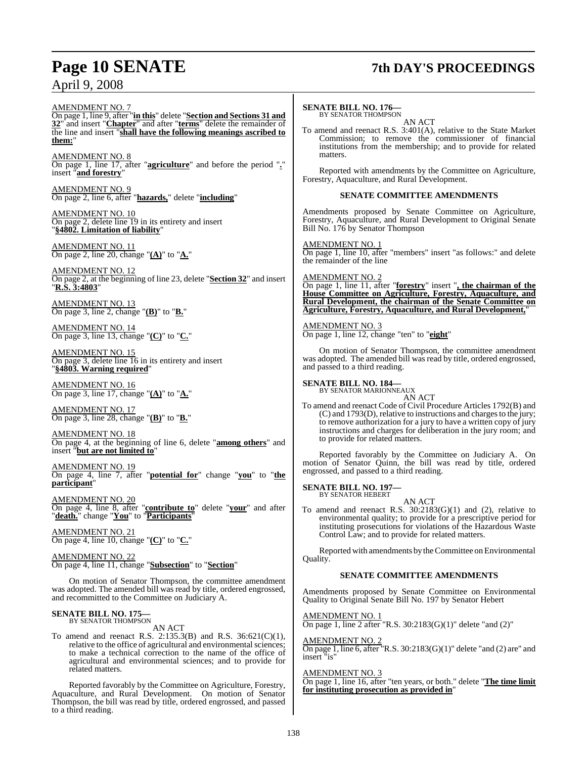## **Page 10 SENATE 7th DAY'S PROCEEDINGS**

AMENDMENT NO. 7

On page 1, line 9, after "**in this**" delete "**Section and Sections 31 and 32**" and insert "**Chapter**" and after "**terms**" delete the remainder of the line and insert "**shall have the following meanings ascribed to them:**"

AMENDMENT NO. 8 On page 1, line 17, after "**agriculture**" and before the period "**.**" insert "**and forestry**"

AMENDMENT NO. 9 On page 2, line 6, after "**hazards,**" delete "**including**"

AMENDMENT NO. 10 On page 2, delete line 19 in its entirety and insert "**§4802. Limitation of liability**"

AMENDMENT NO. 11 On page 2, line 20, change "**(A)**" to "**A.**"

AMENDMENT NO. 12 On page 2, at the beginning of line 23, delete "**Section 32**" and insert "**R.S. 3:4803**"

AMENDMENT NO. 13 On page 3, line 2, change "**(B)**" to "**B.**"

AMENDMENT NO. 14 On page 3, line 13, change "**(C)**" to "**C.**"

AMENDMENT NO. 15 On page 3, delete line 16 in its entirety and insert "**§4803. Warning required**"

AMENDMENT NO. 16 On page 3, line 17, change "**(A)**" to "**A.**"

AMENDMENT NO. 17 On page 3, line 28, change "**(B)**" to "**B.**"

AMENDMENT NO. 18 On page 4, at the beginning of line 6, delete "**among others**" and insert "**but are not limited to**"

AMENDMENT NO. 19 On page 4, line 7, after "**potential for**" change "**you**" to "**the participant**"

AMENDMENT NO. 20 On page 4, line 8, after "**contribute to**" delete "**your**" and after "**death.**" change "**You**" to "**Participants**"

AMENDMENT NO. 21 On page 4, line 10, change "**(C)**" to "**C.**"

AMENDMENT NO. 22 On page 4, line 11, change "**Subsection**" to "**Section**"

On motion of Senator Thompson, the committee amendment was adopted. The amended bill was read by title, ordered engrossed, and recommitted to the Committee on Judiciary A.

#### **SENATE BILL NO. 175—** BY SENATOR THOMPSON

AN ACT

To amend and reenact R.S. 2:135.3(B) and R.S. 36:621(C)(1), relative to the office of agricultural and environmental sciences; to make a technical correction to the name of the office of agricultural and environmental sciences; and to provide for related matters.

Reported favorably by the Committee on Agriculture, Forestry, Aquaculture, and Rural Development. On motion of Senator Thompson, the bill was read by title, ordered engrossed, and passed to a third reading.

#### **SENATE BILL NO. 176—**

BY SENATOR THOMPSON AN ACT

To amend and reenact R.S. 3:401(A), relative to the State Market Commission; to remove the commissioner of financial institutions from the membership; and to provide for related matters.

Reported with amendments by the Committee on Agriculture, Forestry, Aquaculture, and Rural Development.

#### **SENATE COMMITTEE AMENDMENTS**

Amendments proposed by Senate Committee on Agriculture, Forestry, Aquaculture, and Rural Development to Original Senate Bill No. 176 by Senator Thompson

AMENDMENT NO. 1 On page 1, line 10, after "members" insert "as follows:" and delete the remainder of the line

AMENDMENT NO. 2 On page 1, line 11, after "**forestry**" insert "**, the chairman of the House Committee on Agriculture, Forestry, Aquaculture, and Rural Development, the chairman of the Senate Committee on Agriculture, Forestry, Aquaculture, and Rural Development,**"

### AMENDMENT NO. 3

On page 1, line 12, change "ten" to "**eight**"

On motion of Senator Thompson, the committee amendment was adopted. The amended bill was read by title, ordered engrossed, and passed to a third reading.

**SENATE BILL NO. 184—** BY SENATOR MARIONNEAUX AN ACT

To amend and reenact Code of Civil Procedure Articles 1792(B) and (C) and 1793(D), relative to instructions and charges to the jury; to remove authorization for a jury to have a written copy of jury instructions and charges for deliberation in the jury room; and to provide for related matters.

Reported favorably by the Committee on Judiciary A. On motion of Senator Quinn, the bill was read by title, ordered engrossed, and passed to a third reading.

**SENATE BILL NO. 197—** BY SENATOR HEBERT

AN ACT

To amend and reenact R.S.  $30:2183(G)(1)$  and (2), relative to environmental quality; to provide for a prescriptive period for instituting prosecutions for violations of the Hazardous Waste Control Law; and to provide for related matters.

Reported with amendments by the Committee on Environmental Quality.

#### **SENATE COMMITTEE AMENDMENTS**

Amendments proposed by Senate Committee on Environmental Quality to Original Senate Bill No. 197 by Senator Hebert

AMENDMENT NO. 1 On page 1, line 2 after "R.S.  $30:2183(G)(1)$ " delete "and  $(2)$ "

AMENDMENT NO. 2 On page 1, line 6, after "R.S. 30:2183(G)(1)" delete "and (2) are" and insert "is"

#### AMENDMENT NO. 3

On page 1, line 16, after "ten years, or both." delete "**The time limit for instituting prosecution as provided in**"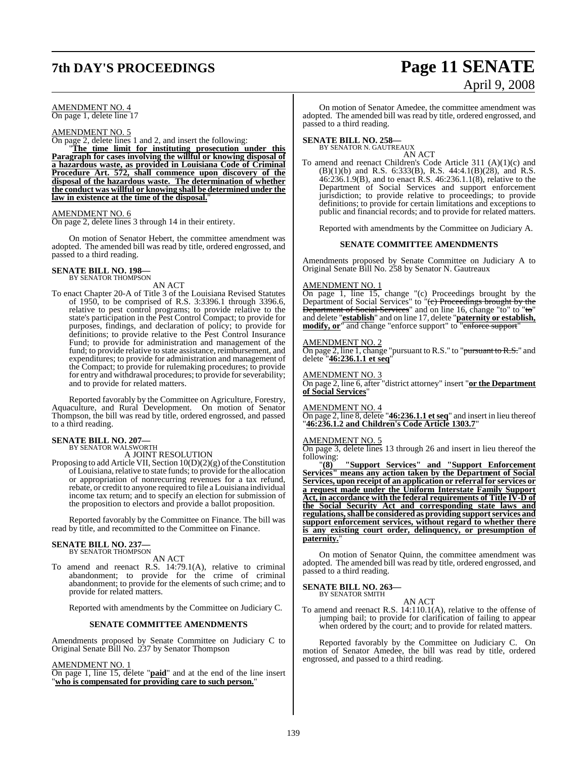## **7th DAY'S PROCEEDINGS Page 11 SENATE**

#### AMENDMENT NO. 4 On page 1, delete line 17

#### AMENDMENT NO. 5

On page 2, delete lines 1 and 2, and insert the following:

"**The time limit for instituting prosecution under this Paragraph for cases involving the willful or knowing disposal of a hazardous waste, as provided in Louisiana Code of Criminal Procedure Art. 572, shall commence upon discovery of the disposal of the hazardous waste. The determination of whether the conduct was willful or knowing shall be determined under the law in existence at the time of the disposal.**"

#### AMENDMENT NO. 6

On page 2, delete lines 3 through 14 in their entirety.

On motion of Senator Hebert, the committee amendment was adopted. The amended bill was read by title, ordered engrossed, and passed to a third reading.

## **SENATE BILL NO. 198—** BY SENATOR THOMPSON

AN ACT

To enact Chapter 20-A of Title 3 of the Louisiana Revised Statutes of 1950, to be comprised of R.S. 3:3396.1 through 3396.6, relative to pest control programs; to provide relative to the state's participation in the Pest Control Compact; to provide for purposes, findings, and declaration of policy; to provide for definitions; to provide relative to the Pest Control Insurance Fund; to provide for administration and management of the fund; to provide relative to state assistance, reimbursement, and expenditures; to provide for administration and management of the Compact; to provide for rulemaking procedures; to provide for entry and withdrawal procedures; to provide for severability; and to provide for related matters.

Reported favorably by the Committee on Agriculture, Forestry, Aquaculture, and Rural Development. On motion of Senator Thompson, the bill was read by title, ordered engrossed, and passed to a third reading.

## **SENATE BILL NO. 207—** BY SENATOR WALSWORTH

A JOINT RESOLUTION

Proposing to add Article VII, Section  $10(D)(2)(g)$  of the Constitution of Louisiana, relative to state funds; to provide for the allocation or appropriation of nonrecurring revenues for a tax refund, rebate, or credit to anyone required to file a Louisiana individual income tax return; and to specify an election for submission of the proposition to electors and provide a ballot proposition.

Reported favorably by the Committee on Finance. The bill was read by title, and recommitted to the Committee on Finance.

## **SENATE BILL NO. 237—**<br>BY SENATOR THOMPSON

AN ACT

To amend and reenact R.S. 14:79.1(A), relative to criminal abandonment; to provide for the crime of criminal abandonment; to provide for the elements of such crime; and to provide for related matters.

Reported with amendments by the Committee on Judiciary C.

#### **SENATE COMMITTEE AMENDMENTS**

Amendments proposed by Senate Committee on Judiciary C to Original Senate Bill No. 237 by Senator Thompson

AMENDMENT NO. 1

On page 1, line 15, delete "**paid**" and at the end of the line insert "**who is compensated for providing care to such person.**"

# April 9, 2008

On motion of Senator Amedee, the committee amendment was adopted. The amended bill was read by title, ordered engrossed, and passed to a third reading.

## **SENATE BILL NO. 258—** BY SENATOR N. GAUTREAUX

AN ACT

To amend and reenact Children's Code Article 311 (A)(1)(c) and (B)(1)(b) and R.S. 6:333(B), R.S. 44:4.1(B)(28), and R.S. 46:236.1.9(B), and to enact R.S. 46:236.1.1(8), relative to the Department of Social Services and support enforcement jurisdiction; to provide relative to proceedings; to provide definitions; to provide for certain limitations and exceptions to public and financial records; and to provide for related matters.

Reported with amendments by the Committee on Judiciary A.

#### **SENATE COMMITTEE AMENDMENTS**

Amendments proposed by Senate Committee on Judiciary A to Original Senate Bill No. 258 by Senator N. Gautreaux

#### AMENDMENT NO. 1

On page 1, line 15, change "(c) Proceedings brought by the Department of Social Services" to "(e) Proceedings brought by the Department of Social Services" and on line 16, change "to" to "to" and delete "**establish**" and on line 17, delete "**paternity or establish, modify, or**" and change "enforce support" to "enforce support"

#### AMENDMENT NO. 2

On page 2, line 1, change "pursuant to R.S." to "<del>pursuant to R.S.</del>" and delete "**46:236.1.1 et seq**"

#### AMENDMENT NO. 3

On page 2, line 6, after "district attorney" insert "**or the Department of Social Services**"

#### AMENDMENT NO. 4

On page 2, line 8, delete "**46:236.1.1 etseq**" and insert in lieu thereof "**46:236.1.2 and Children's Code Article 1303.7**"

#### AMENDMENT NO. 5

On page 3, delete lines 13 through 26 and insert in lieu thereof the following:

"**(8) "Support Services" and "Support Enforcement Services" means any action taken by the Department of Social Services, upon receipt of an application or referral for services or a request made under the Uniform Interstate Family Support Act, in accordance with the federal requirements of Title IV-D of the Social Security Act and corresponding state laws and regulations,shall be considered as providing supportservices and support enforcement services, without regard to whether there is any existing court order, delinquency, or presumption of paternity.**"

On motion of Senator Quinn, the committee amendment was adopted. The amended bill was read by title, ordered engrossed, and passed to a third reading.

### **SENATE BILL NO. 263—**

BY SENATOR SMITH AN ACT

To amend and reenact R.S. 14:110.1(A), relative to the offense of jumping bail; to provide for clarification of failing to appear when ordered by the court; and to provide for related matters.

Reported favorably by the Committee on Judiciary C. On motion of Senator Amedee, the bill was read by title, ordered engrossed, and passed to a third reading.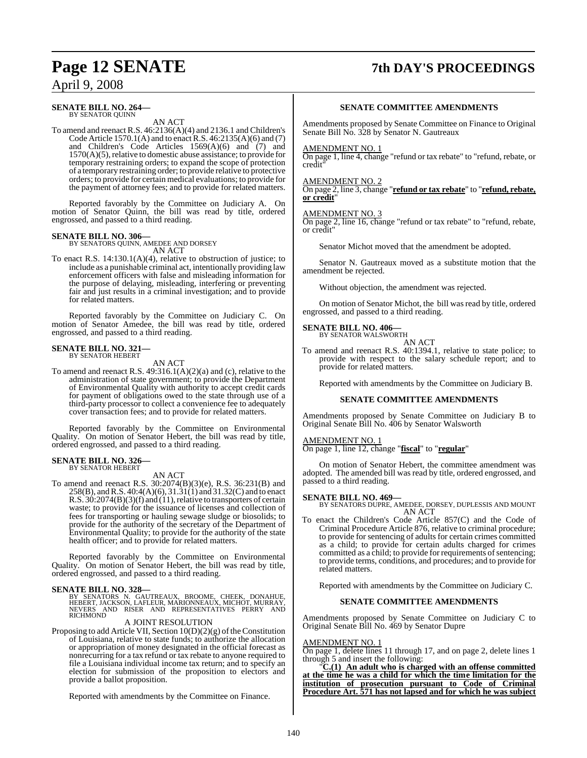## **Page 12 SENATE 7th DAY'S PROCEEDINGS**

## April 9, 2008

#### **SENATE BILL NO. 264—** BY SENATOR QUINN

AN ACT

To amend and reenact R.S. 46:2136(A)(4) and 2136.1 and Children's Code Article 1570.1(A) and to enact R.S.  $46:2135(A)(6)$  and (7) and Children's Code Articles 1569(A)(6) and (7) and  $1570(A)(5)$ , relative to domestic abuse assistance; to provide for temporary restraining orders; to expand the scope of protection of a temporary restraining order; to provide relative to protective orders; to provide for certain medical evaluations; to provide for the payment of attorney fees; and to provide for related matters.

Reported favorably by the Committee on Judiciary A. On motion of Senator Quinn, the bill was read by title, ordered engrossed, and passed to a third reading.

**SENATE BILL NO. 306—** BY SENATORS QUINN, AMEDEE AND DORSEY AN ACT

To enact R.S. 14:130.1(A)(4), relative to obstruction of justice; to include as a punishable criminal act, intentionally providing law enforcement officers with false and misleading information for the purpose of delaying, misleading, interfering or preventing fair and just results in a criminal investigation; and to provide for related matters.

Reported favorably by the Committee on Judiciary C. On motion of Senator Amedee, the bill was read by title, ordered engrossed, and passed to a third reading.

# **SENATE BILL NO. 321—** BY SENATOR HEBERT

AN ACT

To amend and reenact R.S. 49:316.1(A)(2)(a) and (c), relative to the administration of state government; to provide the Department of Environmental Quality with authority to accept credit cards for payment of obligations owed to the state through use of a third-party processor to collect a convenience fee to adequately cover transaction fees; and to provide for related matters.

Reported favorably by the Committee on Environmental Quality. On motion of Senator Hebert, the bill was read by title, ordered engrossed, and passed to a third reading.

#### **SENATE BILL NO. 326—** BY SENATOR HEBERT

AN ACT

To amend and reenact R.S. 30:2074(B)(3)(e), R.S. 36:231(B) and 258(B), andR.S. 40:4(A)(6), 31.31(1) and 31.32(C) and to enact R.S.  $30:2074(B)(3)(f)$  and  $(11)$ , relative to transporters of certain waste; to provide for the issuance of licenses and collection of fees for transporting or hauling sewage sludge or biosolids; to provide for the authority of the secretary of the Department of Environmental Quality; to provide for the authority of the state health officer; and to provide for related matters.

Reported favorably by the Committee on Environmental Quality. On motion of Senator Hebert, the bill was read by title, ordered engrossed, and passed to a third reading.

#### **SENATE BILL NO. 328—**

BY SENATORS N. GAUTREAUX, BROOME, CHEEK, DONAHUE,<br>HEBERT, JACKSON, LAFLEUR, MARIONNEAUX, MICHOT, MURRAY,<br>NEVERS AND RISER AND REPRESENTATIVES PERRY AND<br>RICHMOND

#### A JOINT RESOLUTION

Proposing to add Article VII, Section  $10(D)(2)(g)$  of the Constitution of Louisiana, relative to state funds; to authorize the allocation or appropriation of money designated in the official forecast as nonrecurring for a tax refund or tax rebate to anyone required to file a Louisiana individual income tax return; and to specify an election for submission of the proposition to electors and provide a ballot proposition.

Reported with amendments by the Committee on Finance.

#### **SENATE COMMITTEE AMENDMENTS**

Amendments proposed by Senate Committee on Finance to Original Senate Bill No. 328 by Senator N. Gautreaux

#### AMENDMENT NO. 1

On page 1, line 4, change "refund or tax rebate" to "refund, rebate, or credit"

#### AMENDMENT NO. 2

On page 2, line 3, change "**refund or tax rebate**" to "**refund, rebate, or credit**"

### AMENDMENT NO. 3

On page 2, line 16, change "refund or tax rebate" to "refund, rebate, or credit"

Senator Michot moved that the amendment be adopted.

Senator N. Gautreaux moved as a substitute motion that the amendment be rejected.

Without objection, the amendment was rejected.

On motion of Senator Michot, the bill was read by title, ordered engrossed, and passed to a third reading.

## **SENATE BILL NO. 406—** BY SENATOR WALSWORTH

AN ACT

To amend and reenact R.S. 40:1394.1, relative to state police; to provide with respect to the salary schedule report; and to provide for related matters.

Reported with amendments by the Committee on Judiciary B.

#### **SENATE COMMITTEE AMENDMENTS**

Amendments proposed by Senate Committee on Judiciary B to Original Senate Bill No. 406 by Senator Walsworth

#### AMENDMENT NO. 1

On page 1, line 12, change "**fiscal**" to "**regular**"

On motion of Senator Hebert, the committee amendment was adopted. The amended bill was read by title, ordered engrossed, and passed to a third reading.

#### **SENATE BILL NO. 469—**

BY SENATORS DUPRE, AMEDEE, DORSEY, DUPLESSIS AND MOUNT AN ACT

To enact the Children's Code Article 857(C) and the Code of Criminal Procedure Article 876, relative to criminal procedure; to provide for sentencing of adults for certain crimes committed as a child; to provide for certain adults charged for crimes committed as a child; to provide for requirements of sentencing; to provide terms, conditions, and procedures; and to provide for related matters.

Reported with amendments by the Committee on Judiciary C.

#### **SENATE COMMITTEE AMENDMENTS**

Amendments proposed by Senate Committee on Judiciary C to Original Senate Bill No. 469 by Senator Dupre

### AMENDMENT NO. 1

On page 1, delete lines 11 through 17, and on page 2, delete lines 1 through 5 and insert the following:

"**C.(1) An adult who is charged with an offense committed at the time he was a child for which the time limitation for the institution of prosecution pursuant to Code of Criminal Procedure Art. 571 has not lapsed and for which he was subject**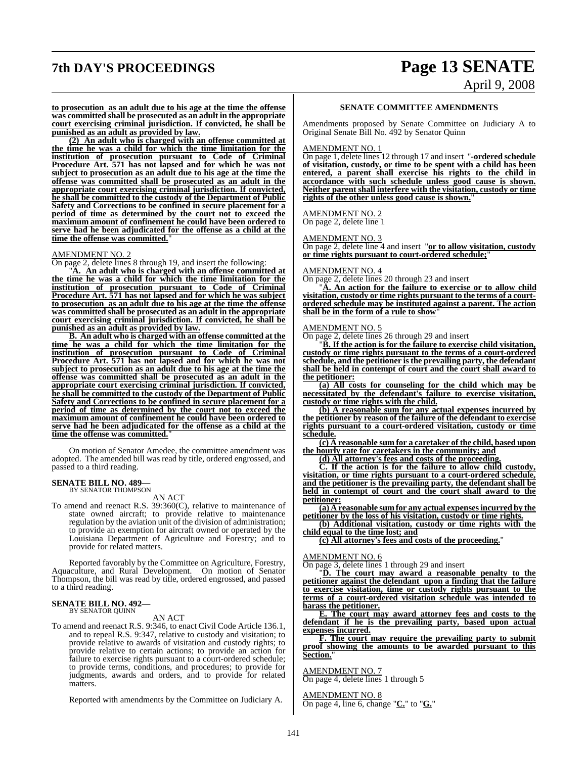## **7th DAY'S PROCEEDINGS Page 13 SENATE** April 9, 2008

**to prosecution as an adult due to his age at the time the offense was committed shall be prosecuted as an adult in the appropriate court exercising criminal jurisdiction. If convicted, he shall be punished as an adult as provided by law.**

**(2) An adult who is charged with an offense committed at the time he was a child for which the time limitation for the institution of prosecution pursuant to Code of Criminal Procedure Art. 571 has not lapsed and for which he was not subject to prosecution as an adult due to his age at the time the offense was committed shall be prosecuted as an adult in the appropriate court exercising criminal jurisdiction. If convicted, he shall be committed to the custody of the Department of Public Safety and Corrections to be confined in secure placement for a period of time as determined by the court not to exceed the maximum amount of confinement he could have been ordered to serve had he been adjudicated for the offense as a child at the time the offense was committed.**"

#### AMENDMENT NO. 2

On page 2, delete lines 8 through 19, and insert the following:

"**A. An adult who is charged with an offense committed at the time he was a child for which the time limitation for the institution of prosecution pursuant to Code of Criminal Procedure Art. 571 has not lapsed and for which he was subject to prosecution as an adult due to his age at the time the offense was committed shall be prosecuted as an adult in the appropriate court exercising criminal jurisdiction. If convicted, he shall be punished as an adult as provided by law.**

**B. An adult who is charged with an offense committed at the time he was a child for which the time limitation for the institution of prosecution pursuant to Code of Criminal Procedure Art. 571 has not lapsed and for which he was not subject to prosecution as an adult due to his age at the time the offense was committed shall be prosecuted as an adult in the appropriate court exercising criminal jurisdiction. If convicted, he shall be committed to the custody of the Department of Public Safety and Corrections to be confined in secure placement for a period of time as determined by the court not to exceed the maximum amount of confinement he could have been ordered to serve had he been adjudicated for the offense as a child at the time the offense was committed.**"

On motion of Senator Amedee, the committee amendment was adopted. The amended bill was read by title, ordered engrossed, and passed to a third reading.

#### **SENATE BILL NO. 489—** BY SENATOR THOMPSON

AN ACT

To amend and reenact R.S. 39:360(C), relative to maintenance of state owned aircraft; to provide relative to maintenance regulation by the aviation unit of the division of administration; to provide an exemption for aircraft owned or operated by the Louisiana Department of Agriculture and Forestry; and to provide for related matters.

Reported favorably by the Committee on Agriculture, Forestry, Aquaculture, and Rural Development. On motion of Senator Thompson, the bill was read by title, ordered engrossed, and passed to a third reading.

#### **SENATE BILL NO. 492—** BY SENATOR QUINN

#### AN ACT

To amend and reenact R.S. 9:346, to enact Civil Code Article 136.1, and to repeal R.S. 9:347, relative to custody and visitation; to provide relative to awards of visitation and custody rights; to provide relative to certain actions; to provide an action for failure to exercise rights pursuant to a court-ordered schedule; to provide terms, conditions, and procedures; to provide for judgments, awards and orders, and to provide for related matters.

Reported with amendments by the Committee on Judiciary A.

#### **SENATE COMMITTEE AMENDMENTS**

Amendments proposed by Senate Committee on Judiciary A to Original Senate Bill No. 492 by Senator Quinn

#### AMENDMENT NO. 1

On page 1, delete lines 12 through 17 and insert "**-ordered schedule of visitation, custody, or time to be spent with a child has been entered, a parent shall exercise his rights to the child in accordance with such schedule unless good cause is shown. Neither parent shall interfere with the visitation, custody or time** rights of the other unless good cause is shown."

#### AMENDMENT NO. 2

On page 2, delete line 1

#### AMENDMENT NO. 3

On page 2, delete line 4 and insert "**or to allow visitation, custody or time rights pursuant to court-ordered schedule;**"

#### AMENDMENT NO. 4

On page 2, delete lines 20 through 23 and insert

"**A. An action for the failure to exercise or to allow child visitation, custody or time rights pursuant to the terms of a courtordered schedule may be instituted against a parent. The action shall be in the form of a rule to show**"

#### AMENDMENT NO. 5

On page 2, delete lines 26 through 29 and insert

"**B. If the action is for the failure to exercise child visitation, custody or time rights pursuant to the terms of a court-ordered schedule, and the petitioner isthe prevailing party, the defendant shall be held in contempt of court and the court shall award to the petitioner:**

**(a) All costs for counseling for the child which may be necessitated by the defendant's failure to exercise visitation, custody or time rights with the child.**

**(b) A reasonable sum for any actual expenses incurred by the petitioner by reason of the failure of the defendant to exercise rights pursuant to a court-ordered visitation, custody or time schedule.**

**(c) A reasonable sum for a caretaker of the child, based upon the hourly rate for caretakers in the community; and**

**(d) All attorney's fees and costs of the proceeding.**

**C. If the action is for the failure to allow child custody, visitation, or time rights pursuant to a court-ordered schedule, and the petitioner is the prevailing party, the defendant shall be held in contempt of court and the court shall award to the petitioner:**

**(a) A reasonable sum for any actual expensesincurred by the petitioner by the loss of his visitation, custody or time rights.**

**(b) Additional visitation, custody or time rights with the child equal to the time lost; and**

**(c) All attorney's fees and costs of the proceeding.**"

#### AMENDMENT NO. 6

On page 3, delete lines 1 through 29 and insert

"**D. The court may award a reasonable penalty to the petitioner against the defendant upon a finding that the failure to exercise visitation, time or custody rights pursuant to the terms of a court-ordered visitation schedule was intended to harass the petitioner.**

**E. The court may award attorney fees and costs to the defendant if he is the prevailing party, based upon actual expenses incurred.**

**F. The court may require the prevailing party to submit proof showing the amounts to be awarded pursuant to this Section.**"

#### AMENDMENT NO. 7

On page 4, delete lines 1 through 5

AMENDMENT NO. 8 On page 4, line 6, change "**C.**" to "**G.**"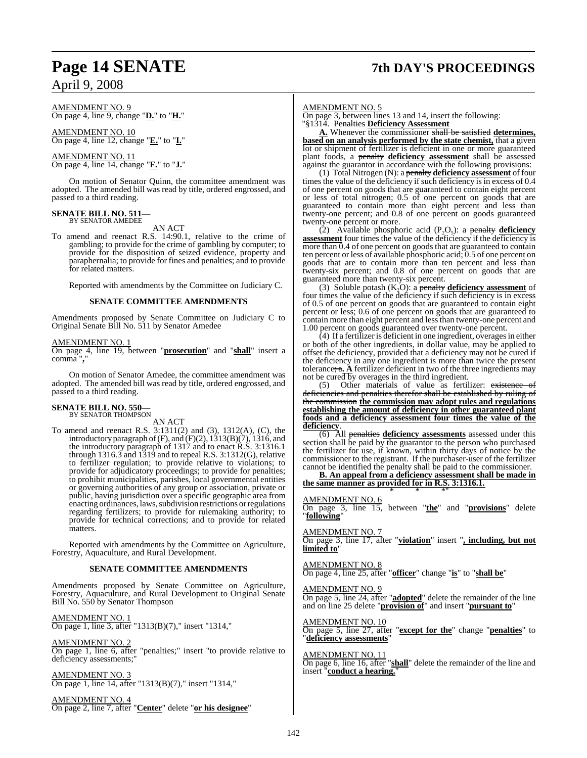## **Page 14 SENATE 7th DAY'S PROCEEDINGS**

## April 9, 2008

AMENDMENT NO. 9 On page 4, line 9, change "**D.**" to "**H.**"

AMENDMENT NO. 10 On page 4, line 12, change "**E.**" to "**I.**"

## AMENDMENT NO. 11

On page 4, line 14, change "**F.**" to "**J.**"

On motion of Senator Quinn, the committee amendment was adopted. The amended bill was read by title, ordered engrossed, and passed to a third reading.

#### **SENATE BILL NO. 511—**

BY SENATOR AMEDEE AN ACT

To amend and reenact R.S. 14:90.1, relative to the crime of gambling; to provide for the crime of gambling by computer; to provide for the disposition of seized evidence, property and paraphernalia; to provide for fines and penalties; and to provide for related matters.

Reported with amendments by the Committee on Judiciary C.

#### **SENATE COMMITTEE AMENDMENTS**

Amendments proposed by Senate Committee on Judiciary C to Original Senate Bill No. 511 by Senator Amedee

#### AMENDMENT NO. 1

On page 4, line 19, between "**prosecution**" and "**shall**" insert a comma "**,**"

On motion of Senator Amedee, the committee amendment was adopted. The amended bill was read by title, ordered engrossed, and passed to a third reading.

#### **SENATE BILL NO. 550—** BY SENATOR THOMPSON

AN ACT

To amend and reenact R.S. 3:1311(2) and (3), 1312(A), (C), the introductory paragraph of  $(F)$ , and  $(F)(2)$ ,  $1313(B)(7)$ ,  $1316$ , and the introductory paragraph of 1317 and to enact R.S. 3:1316.1 through 1316.3 and 1319 and to repeal R.S. 3:1312(G), relative to fertilizer regulation; to provide relative to violations; to provide for adjudicatory proceedings; to provide for penalties; to prohibit municipalities, parishes, local governmental entities or governing authorities of any group or association, private or public, having jurisdiction over a specific geographic area from enacting ordinances, laws, subdivision restrictions or regulations regarding fertilizers; to provide for rulemaking authority; to provide for technical corrections; and to provide for related matters.

Reported with amendments by the Committee on Agriculture, Forestry, Aquaculture, and Rural Development.

#### **SENATE COMMITTEE AMENDMENTS**

Amendments proposed by Senate Committee on Agriculture, Forestry, Aquaculture, and Rural Development to Original Senate Bill No. 550 by Senator Thompson

AMENDMENT NO. 1

On page 1, line 3, after "1313(B)(7)," insert "1314,"

AMENDMENT NO. 2

On page 1, line 6, after "penalties;" insert "to provide relative to deficiency assessments;

AMENDMENT NO. 3 On page 1, line 14, after "1313(B)(7)," insert "1314,"

AMENDMENT NO. 4 On page 2, line 7, after "**Center**" delete "**or his designee**"

#### AMENDMENT NO. 5

On page 3, between lines 13 and 14, insert the following: "§1314. Penalties **Deficiency Assessment**

**A.** Whenever the commissioner shall be satisfied **determines, based on an analysis performed by the state chemist,** that a given lot or shipment of fertilizer is deficient in one or more guaranteed plant foods, a penalty **deficiency assessment** shall be assessed against the guarantor in accordance with the following provisions:

(1) Total Nitrogen (N): a penalty **deficiency assessment** of four times the value of the deficiency if such deficiency is in excess of 0.4 of one percent on goods that are guaranteed to contain eight percent or less of total nitrogen; 0.5 of one percent on goods that are guaranteed to contain more than eight percent and less than twenty-one percent; and 0.8 of one percent on goods guaranteed twenty-one percent or more.

(2) Available phosphoric acid (P<sub>2</sub>O<sub>5</sub>): a penalty deficiency **assessment** four times the value of the deficiency if the deficiency is more than 0.4 of one percent on goods that are guaranteed to contain ten percent or less of available phosphoric acid;  $0.5$  of one percent on goods that are to contain more than ten percent and less than twenty-six percent; and 0.8 of one percent on goods that are guaranteed more than twenty-six percent.

(3) Soluble potash  $(K<sub>2</sub>O)$ : a **penalty deficiency assessment** of four times the value of the deficiency if such deficiency is in excess of 0.5 of one percent on goods that are guaranteed to contain eight percent or less; 0.6 of one percent on goods that are guaranteed to contain more than eight percent and lessthan twenty-one percent and 1.00 percent on goods guaranteed over twenty-one percent.

(4) If a fertilizer is deficient in one ingredient, overages in either or both of the other ingredients, in dollar value, may be applied to offset the deficiency, provided that a deficiency may not be cured if the deficiency in any one ingredient is more than twice the present tolerance;  $\mathbf{a} \cdot \mathbf{A}$  fertilizer deficient in two of the three ingredients may not be cured by overages in the third ingredient.

(5) Other materials of value as fertilizer: existence of deficiencies and penalties therefor shall be established by ruling of the commission **the commission may adopt rules and regulations establishing the amount of deficiency in other guaranteed plant foods and a deficiency assessment four times the value of the deficiency**.

(6) All penalties **deficiency assessments** assessed under this section shall be paid by the guarantor to the person who purchased the fertilizer for use, if known, within thirty days of notice by the commissioner to the registrant. If the purchaser-user of the fertilizer cannot be identified the penalty shall be paid to the commissioner.

**B. An appeal from a deficiency assessment shall be made in the same manner as provided for in R.S. 3:1316.1.** \* \* \*"

#### AMENDMENT NO. 6

On page 3, line 15, between "**the**" and "**provisions**" delete "**following**"

#### AMENDMENT NO. 7

On page 3, line 17, after "**violation**" insert "**, including, but not limited to**"

AMENDMENT NO. 8 On page 4, line 25, after "**officer**" change "**is**" to "**shall be**"

#### AMENDMENT NO. 9

On page 5, line 24, after "**adopted**" delete the remainder of the line and on line 25 delete "**provision of**" and insert "**pursuant to**"

#### AMENDMENT NO. 10

On page 5, line 27, after "**except for the**" change "**penalties**" to "**deficiency assessments**"

#### AMENDMENT NO. 11 On page 6, line 16, after "**shall**" delete the remainder of the line and insert "**conduct a hearing.**"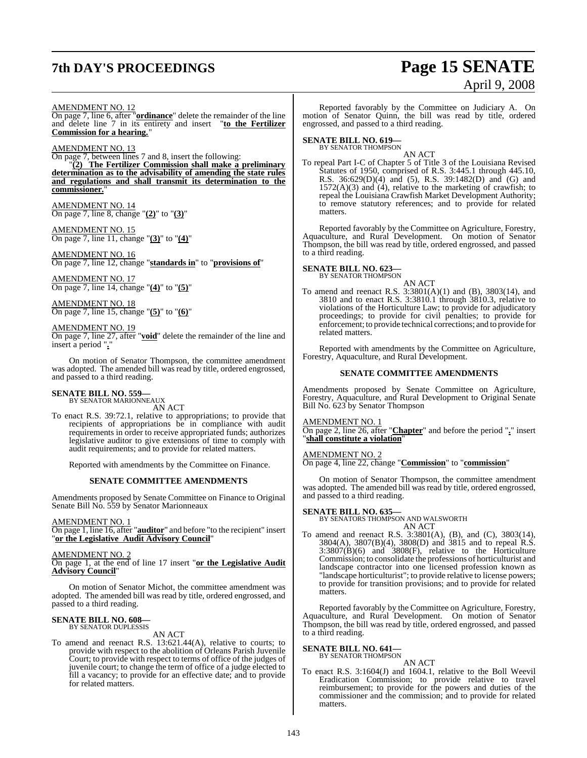## **7th DAY'S PROCEEDINGS Page 15 SENATE**

# April 9, 2008

#### AMENDMENT NO. 12

On page 7, line 6, after "**ordinance**" delete the remainder of the line and delete line 7 in its entirety and insert "**to the Fertilizer Commission for a hearing.**"

AMENDMENT NO. 13

On page 7, between lines 7 and 8, insert the following: "**(2) The Fertilizer Commission shall make a preliminary determination as to the advisability of amending the state rules and regulations and shall transmit its determination to the commissioner.**"

AMENDMENT NO. 14 On page 7, line 8, change "**(2)**" to "**(3)**"

AMENDMENT NO. 15 On page 7, line 11, change "**(3)**" to "**(4)**"

AMENDMENT NO. 16 On page 7, line 12, change "**standards in**" to "**provisions of**"

AMENDMENT NO. 17 On page 7, line 14, change "**(4)**" to "**(5)**"

AMENDMENT NO. 18 On page 7, line 15, change "**(5)**" to "**(6)**"

#### AMENDMENT NO. 19

On page 7, line 27, after "**void**" delete the remainder of the line and insert a period "**.**"

On motion of Senator Thompson, the committee amendment was adopted. The amended bill was read by title, ordered engrossed, and passed to a third reading.

# **SENATE BILL NO. 559—** BY SENATOR MARIONNEAUX AN ACT

To enact R.S. 39:72.1, relative to appropriations; to provide that recipients of appropriations be in compliance with audit requirements in order to receive appropriated funds; authorizes legislative auditor to give extensions of time to comply with audit requirements; and to provide for related matters.

Reported with amendments by the Committee on Finance.

#### **SENATE COMMITTEE AMENDMENTS**

Amendments proposed by Senate Committee on Finance to Original Senate Bill No. 559 by Senator Marionneaux

AMENDMENT NO. 1

On page 1, line 16, after "**auditor**" and before "to the recipient" insert "**or the Legislative Audit Advisory Council**"

AMENDMENT NO. 2

On page 1, at the end of line 17 insert "**or the Legislative Audit Advisory Council**"

On motion of Senator Michot, the committee amendment was adopted. The amended bill was read by title, ordered engrossed, and passed to a third reading.

## **SENATE BILL NO. 608—** BY SENATOR DUPLESSIS

AN ACT

To amend and reenact R.S. 13:621.44(A), relative to courts; to provide with respect to the abolition of Orleans Parish Juvenile Court; to provide with respect to terms of office of the judges of juvenile court; to change the term of office of a judge elected to fill a vacancy; to provide for an effective date; and to provide for related matters.

Reported favorably by the Committee on Judiciary A. On motion of Senator Quinn, the bill was read by title, ordered engrossed, and passed to a third reading.

## **SENATE BILL NO. 619—**<br>BY SENATOR THOMPSON

AN ACT

To repeal Part I-C of Chapter 5 of Title 3 of the Louisiana Revised Statutes of 1950, comprised of R.S. 3:445.1 through 445.10, R.S. 36:629(D)(4) and (5), R.S. 39:1482(D) and (G) and  $1572(A)(3)$  and  $(4)$ , relative to the marketing of crawfish; to repeal the Louisiana Crawfish Market Development Authority; to remove statutory references; and to provide for related matters.

Reported favorably by the Committee on Agriculture, Forestry, Aquaculture, and Rural Development. On motion of Senator Thompson, the bill was read by title, ordered engrossed, and passed to a third reading.

**SENATE BILL NO. 623-**<br>BY SENATOR THOMPSON

AN ACT

To amend and reenact R.S. 3:3801(A)(1) and (B), 3803(14), and 3810 and to enact R.S. 3:3810.1 through 3810.3, relative to violations of the Horticulture Law; to provide for adjudicatory proceedings; to provide for civil penalties; to provide for enforcement; to provide technical corrections; and to provide for related matters.

Reported with amendments by the Committee on Agriculture, Forestry, Aquaculture, and Rural Development.

#### **SENATE COMMITTEE AMENDMENTS**

Amendments proposed by Senate Committee on Agriculture, Forestry, Aquaculture, and Rural Development to Original Senate Bill No. 623 by Senator Thompson

#### AMENDMENT NO. 1

On page 2, line 26, after "**Chapter**" and before the period "**.**" insert "**shall constitute a violation**"

#### AMENDMENT NO. 2

On page 4, line 22, change "**Commission**" to "**commission**"

On motion of Senator Thompson, the committee amendment was adopted. The amended bill was read by title, ordered engrossed, and passed to a third reading.

#### **SENATE BILL NO. 635—**

BY SENATORS THOMPSON AND WALSWORTH AN ACT

To amend and reenact R.S. 3:3801(A), (B), and (C), 3803(14), 3804(A), 3807(B)(4), 3808(D) and 3815 and to repeal R.S. 3:3807(B)(6) and 3808(F), relative to the Horticulture Commission; to consolidate the professions of horticulturist and landscape contractor into one licensed profession known as "landscape horticulturist"; to provide relative to license powers; to provide for transition provisions; and to provide for related matters.

Reported favorably by the Committee on Agriculture, Forestry, Aquaculture, and Rural Development. On motion of Senator Thompson, the bill was read by title, ordered engrossed, and passed to a third reading.

#### **SENATE BILL NO. 641—** BY SENATOR THOMPSON

AN ACT

To enact R.S. 3:1604(J) and 1604.1, relative to the Boll Weevil Eradication Commission; to provide relative to travel reimbursement; to provide for the powers and duties of the commissioner and the commission; and to provide for related matters.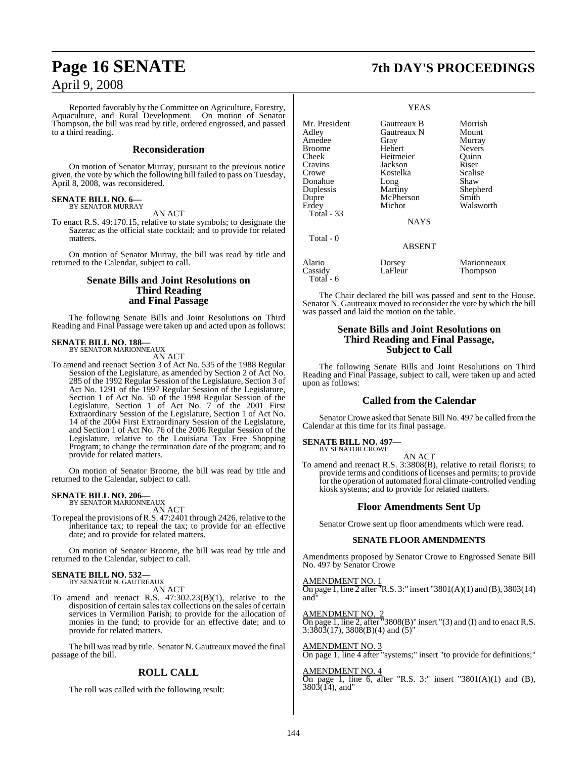Reported favorably by the Committee on Agriculture, Forestry, Aquaculture, and Rural Development. On motion of Senator Thompson, the bill was read by title, ordered engrossed, and passed to a third reading.

#### **Reconsideration**

On motion of Senator Murray, pursuant to the previous notice given, the vote by which the following bill failed to pass on Tuesday, April 8, 2008, was reconsidered.

#### **SENATE BILL NO. 6—** BY SENATOR MURRAY

AN ACT

To enact R.S. 49:170.15, relative to state symbols; to designate the Sazerac as the official state cocktail; and to provide for related matters.

On motion of Senator Murray, the bill was read by title and returned to the Calendar, subject to call.

#### **Senate Bills and Joint Resolutions on Third Reading and Final Passage**

The following Senate Bills and Joint Resolutions on Third Reading and Final Passage were taken up and acted upon as follows:

#### **SENATE BILL NO. 188—** BY SENATOR MARIONNEAUX

AN ACT

To amend and reenact Section 3 of Act No. 535 of the 1988 Regular Session of the Legislature, as amended by Section 2 of Act No. 285 of the 1992 Regular Session of the Legislature, Section 3 of Act No. 1291 of the 1997 Regular Session of the Legislature, Section 1 of Act No. 50 of the 1998 Regular Session of the Legislature, Section 1 of Act No. 7 of the 2001 First Extraordinary Session of the Legislature, Section 1 of Act No. 14 of the 2004 First Extraordinary Session of the Legislature, and Section 1 of Act No. 76 of the 2006 Regular Session of the Legislature, relative to the Louisiana Tax Free Shopping Program; to change the termination date of the program; and to provide for related matters.

On motion of Senator Broome, the bill was read by title and returned to the Calendar, subject to call.

#### **SENATE BILL NO. 206—** BY SENATOR MARIONNEAUX

AN ACT

To repeal the provisions ofR.S. 47:2401 through 2426, relative to the inheritance tax; to repeal the tax; to provide for an effective date; and to provide for related matters.

On motion of Senator Broome, the bill was read by title and returned to the Calendar, subject to call.

#### **SENATE BILL NO. 532—** BY SENATOR N. GAUTREAUX

AN ACT

To amend and reenact R.S.  $47:302.23(B)(1)$ , relative to the disposition of certain sales tax collections on the sales of certain services in Vermilion Parish; to provide for the allocation of monies in the fund; to provide for an effective date; and to provide for related matters.

The bill was read by title. Senator N. Gautreaux moved the final passage of the bill.

#### **ROLL CALL**

The roll was called with the following result:

## **Page 16 SENATE 7th DAY'S PROCEEDINGS**

#### YEAS

| Mr. President<br>Adley<br>Amedee<br>Broome<br>Cheek<br>Cravins<br>Crowe<br>Donahue | Gautreaux B<br>Gautreaux N<br>Gray<br>Hebert<br>Heitmeier<br>Jackson<br>Kostelka<br>Long | Morrish<br>Mount<br>Murray<br><b>Nevers</b><br>Ouinn<br>Riser<br>Scalise<br>Shaw |
|------------------------------------------------------------------------------------|------------------------------------------------------------------------------------------|----------------------------------------------------------------------------------|
| Duplessis                                                                          | Martiny                                                                                  | Shepherd                                                                         |
| Dupre                                                                              | McPherson                                                                                | Smith                                                                            |
| Erdey                                                                              | Michot                                                                                   | Walsworth                                                                        |
| Total - 33                                                                         |                                                                                          |                                                                                  |
|                                                                                    | <b>NAYS</b>                                                                              |                                                                                  |
| Total - 0                                                                          | <b>ABSENT</b>                                                                            |                                                                                  |
| Alario<br>Cassidy<br>Total - 6                                                     | Dorsey<br>LaFleur                                                                        | Marionneaux<br>Thompson                                                          |

The Chair declared the bill was passed and sent to the House. Senator N. Gautreaux moved to reconsider the vote by which the bill was passed and laid the motion on the table.

#### **Senate Bills and Joint Resolutions on Third Reading and Final Passage, Subject to Call**

The following Senate Bills and Joint Resolutions on Third Reading and Final Passage, subject to call, were taken up and acted upon as follows:

#### **Called from the Calendar**

Senator Crowe asked that Senate Bill No. 497 be called from the Calendar at this time for its final passage.

#### **SENATE BILL NO. 497—**

BY SENATOR CROWE AN ACT

To amend and reenact R.S. 3:3808(B), relative to retail florists; to provide terms and conditions of licenses and permits; to provide for the operation of automated floral climate-controlled vending kiosk systems; and to provide for related matters.

#### **Floor Amendments Sent Up**

Senator Crowe sent up floor amendments which were read.

#### **SENATE FLOOR AMENDMENTS**

Amendments proposed by Senator Crowe to Engrossed Senate Bill No. 497 by Senator Crowe

AMENDMENT NO. 1

On page 1, line 2 after "R.S. 3:" insert "3801(A)(1) and (B), 3803(14) and"

AMENDMENT NO. 2 On page 1, line 2, after "3808(B)" insert "(3) and (I) and to enact R.S.  $3:380\overline{3}(17)$ ,  $3808(B)(4)$  and  $(5)$ "

AMENDMENT NO. 3

On page 1, line 4 after "systems;" insert "to provide for definitions;"

#### AMENDMENT NO. 4

On page 1, line 6, after "R.S. 3:" insert "3801(A)(1) and (B),  $380\overline{3}(1\overline{4})$ , and"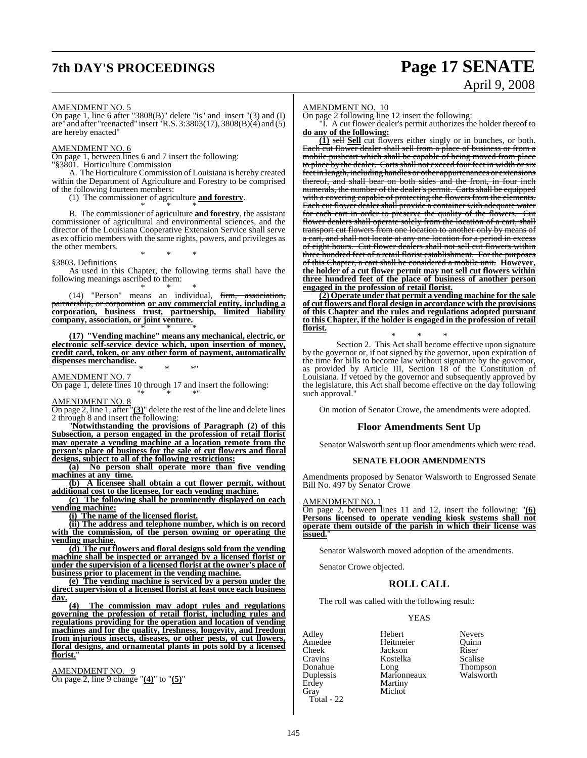## **7th DAY'S PROCEEDINGS Page 17 SENATE**

# April 9, 2008

AMENDMENT NO. 5

On page 1, line 6 after "3808(B)" delete "is" and insert "(3) and (I) are" and after "reenacted" insert "R.S.  $3:3803(17)$ ,  $3808(B)(4)$  and  $(5)$ are hereby enacted"

#### AMENDMENT NO. 6

On page 1, between lines 6 and 7 insert the following:

"§3801. Horticulture Commission

A. The Horticulture Commission of Louisiana is hereby created within the Department of Agriculture and Forestry to be comprised of the following fourteen members:

(1) The commissioner of agriculture **and forestry**.

\* \* \* B. The commissioner of agriculture **and forestry**, the assistant commissioner of agricultural and environmental sciences, and the director of the Louisiana Cooperative Extension Service shall serve as ex officio members with the same rights, powers, and privileges as the other members. \* \* \*

§3803. Definitions

As used in this Chapter, the following terms shall have the following meanings ascribed to them:

\* \* \* (14) "Person" means an individual, firm, association, partnership, or corporation **or any commercial entity, including a corporation, business trust, partnership, limited liability company, association, or joint venture.** \* \* \*

**(17) "Vending machine" means any mechanical, electric, or electronic self-service device which, upon insertion of money, credit card, token, or any other form of payment, automatically dispenses merchandise.**

\* \* \*" AMENDMENT NO. 7

On page 1, delete lines 10 through 17 and insert the following: "\* \* \*"

AMENDMENT NO. 8

On page 2, line 1, after "**(3)**" delete the rest of the line and delete lines 2 through 8 and insert the following:

"**Notwithstanding the provisions of Paragraph (2) of this Subsection, a person engaged in the profession of retail florist may operate a vending machine at a location remote from the person's place of business for the sale of cut flowers and floral designs, subject to all of the following restrictions:**

**(a) No person shall operate more than five vending machines at any time.**

**(b) A licensee shall obtain a cut flower permit, without additional cost to the licensee, for each vending machine.**

**(c) The following shall be prominently displayed on each vending machine:**

**(i) The name of the licensed florist.**

**(ii) The address and telephone number, which is on record with the commission, of the person owning or operating the vending machine.**

**(d) The cut flowers and floral designs sold from the vending machine shall be inspected or arranged by a licensed florist or under the supervision of a licensed florist at the owner's place of business prior to placement in the vending machine.**

**(e) The vending machine is serviced by a person under the direct supervision of a licensed florist at least once each business day.**

**(4) The commission may adopt rules and regulations governing the profession of retail florist, including rules and regulations providing for the operation and location of vending machines and for the quality, freshness, longevity, and freedom from injurious insects, diseases, or other pests, of cut flowers, floral designs, and ornamental plants in pots sold by a licensed florist.**"

AMENDMENT NO. 9 On page 2, line 9 change "**(4)**" to "**(5)**"

#### AMENDMENT NO. 10

On page 2 following line 12 insert the following:

"I. A cut flower dealer's permit authorizes the holder thereof to **do any of the following:**

**(1)** sell **Sell** cut flowers either singly or in bunches, or both. Each cut flower dealer shall sell from a place of business or from a mobile pushcart which shall be capable of being moved from place to place by the dealer. Carts shall not exceed four feet in width or six feet in length, including handles or other appurtenances or extensions thereof, and shall bear on both sides and the front, in four inch numerals, the number of the dealer's permit. Carts shall be equipped with a covering capable of protecting the flowers from the elements. Each cut flower dealer shall provide a container with adequate water for each cart in order to preserve the quality of the flowers. Cut flower dealers shall operate solely from the location of a cart, shall transport cut flowers from one location to another only by means of a cart, and shall not locate at any one location for a period in excess of eight hours. Cut flower dealers shall not sell cut flowers within three hundred feet of a retail florist establishment. For the purposes of this Chapter, a cart shall be considered a mobile unit. **However, the holder of a cut flower permit may not sell cut flowers within three hundred feet of the place of business of another person engaged in the profession of retail florist.**

**(2) Operate under that permit a vending machine for the sale of cut flowers and floral design in accordance with the provisions of this Chapter and the rules and regulations adopted pursuant to this Chapter, if the holder is engaged in the profession of retail florist.**

\* \* \* Section 2. This Act shall become effective upon signature by the governor or, if not signed by the governor, upon expiration of the time for bills to become law without signature by the governor, as provided by Article III, Section 18 of the Constitution of Louisiana. If vetoed by the governor and subsequently approved by the legislature, this Act shall become effective on the day following such approval."

On motion of Senator Crowe, the amendments were adopted.

#### **Floor Amendments Sent Up**

Senator Walsworth sent up floor amendments which were read.

#### **SENATE FLOOR AMENDMENTS**

Amendments proposed by Senator Walsworth to Engrossed Senate Bill No. 497 by Senator Crowe

#### AMENDMENT NO. 1

On page 2, between lines 11 and 12, insert the following: "**(6) Persons licensed to operate vending kiosk systems shall not operate them outside of the parish in which their license was issued.**"

Senator Walsworth moved adoption of the amendments.

Senator Crowe objected.

### **ROLL CALL**

The roll was called with the following result:

Michot

#### YEAS

Amedee Heitmeier<br>Cheek Jackson Erdey Martiny<br>Gray Michot Total - 22

Adley Hebert Nevers Cheek Jackson Riser Cravins Kostelka Scalise Donahue Long Thompson Duplessis Marionneaux Walsworth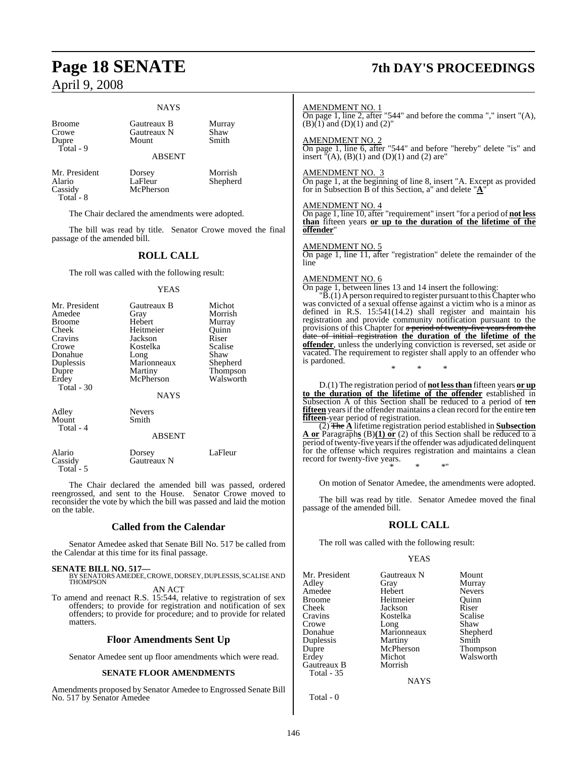#### **NAYS**

Dupre Total - 9

Broome Gautreaux B Murray<br>Crowe Gautreaux N Shaw Gautreaux N<br>Mount Smith

ABSENT

Mr. President Dorsey Morrish<br>Alario LaFleur Shepher Alario LaFleur Shepherd Total - 8

McPherson

The Chair declared the amendments were adopted.

The bill was read by title. Senator Crowe moved the final passage of the amended bill.

#### **ROLL CALL**

The roll was called with the following result:

#### YEAS

| Mr. President<br>Amedee<br><b>Broome</b><br>Cheek<br>Cravins  | Gautreaux B<br>Gray<br>Hebert<br>Heitmeier<br>Jackson                  | Michot<br>Morrish<br>Murray<br>Ouinn<br>Riser<br>Scalise |
|---------------------------------------------------------------|------------------------------------------------------------------------|----------------------------------------------------------|
| Crowe<br>Donahue<br>Duplessis<br>Dupre<br>Erdey<br>Total - 30 | Kostelka<br>Long<br>Marionneaux<br>Martiny<br>McPherson<br><b>NAYS</b> | Shaw<br>Shepherd<br>Thompson<br>Walsworth                |
| Adley<br>Mount<br>Total - 4                                   | <b>Nevers</b><br>Smith<br><b>ABSENT</b>                                |                                                          |
| .                                                             |                                                                        |                                                          |

Alario Dorsey LaFleur Cassidy Gautreaux N Total - 5

The Chair declared the amended bill was passed, ordered reengrossed, and sent to the House. Senator Crowe moved to reconsider the vote by which the bill was passed and laid the motion on the table.

#### **Called from the Calendar**

Senator Amedee asked that Senate Bill No. 517 be called from the Calendar at this time for its final passage.

**SENATE BILL NO. 517—** BY SENATORS AMEDEE, CROWE, DORSEY, DUPLESSIS, SCALISE AND THOMPSON AN ACT

To amend and reenact R.S. 15:544, relative to registration of sex offenders; to provide for registration and notification of sex offenders; to provide for procedure; and to provide for related matters.

#### **Floor Amendments Sent Up**

Senator Amedee sent up floor amendments which were read.

#### **SENATE FLOOR AMENDMENTS**

Amendments proposed by Senator Amedee to Engrossed Senate Bill No. 517 by Senator Amedee

## **Page 18 SENATE 7th DAY'S PROCEEDINGS**

AMENDMENT NO. 1

On page 1, line 2, after "544" and before the comma "," insert "(A),  $(B)(1)$  and  $(D)(1)$  and  $(2)$ "

#### AMENDMENT NO. 2

On page 1, line 6, after "544" and before "hereby" delete "is" and insert  $\sqrt[n]{(A)}$ ,  $(B)(1)$  and  $(D)(1)$  and  $(2)$  are

#### AMENDMENT NO. 3

On page 1, at the beginning of line 8, insert "A. Except as provided for in Subsection B of this Section, a" and delete "**A**"

#### AMENDMENT NO. 4

On page 1, line 10, after "requirement" insert "for a period of **not less than** fifteen years **or up to the duration of the lifetime of the offender**"

#### AMENDMENT NO. 5

On page 1, line 11, after "registration" delete the remainder of the line

#### AMENDMENT NO. 6

On page 1, between lines 13 and 14 insert the following:

 $\overline{B}(1)$  A person required to register pursuant to this Chapter who was convicted of a sexual offense against a victim who is a minor as defined in R.S. 15:541(14.2) shall register and maintain his registration and provide community notification pursuant to the provisions of this Chapter for a period of twenty-five years from the date of initial registration **the duration of the lifetime of the offender**, unless the underlying conviction is reversed, set aside or vacated. The requirement to register shall apply to an offender who is pardoned.

D.(1) The registration period of **not lessthan** fifteen years **or up to the duration of the lifetime of the offender** established in Subsection A of this Section shall be reduced to a period of ten **fifteen** years if the offender maintains a clean record for the entire ten **fifteen**-year period of registration.

\* \* \*

(2) The **A** lifetime registration period established in **Subsection A or** Paragraph**s** (B)**(1) or** (2) of this Section shall be reduced to a period of twenty-five years if the offender was adjudicated delinquent for the offense which requires registration and maintains a clean record for twenty-five years. \* \* \*"

On motion of Senator Amedee, the amendments were adopted.

The bill was read by title. Senator Amedee moved the final passage of the amended bill.

#### **ROLL CALL**

The roll was called with the following result:

#### YEAS

| Mr. President | Gautreaux N | Mount         |
|---------------|-------------|---------------|
| Adley         | Gray        | Murray        |
| Amedee        | Hebert      | <b>Nevers</b> |
| <b>Broome</b> | Heitmeier   | Ouinn         |
| Cheek         | Jackson     | Riser         |
| Cravins       | Kostelka    | Scalise       |
| Crowe         | Long        | Shaw          |
| Donahue       | Marionneaux | Shepherd      |
| Duplessis     | Martiny     | Smith         |
| Dupre         | McPherson   | Thompson      |
| Erdey         | Michot      | Walsworth     |
| Gautreaux B   | Morrish     |               |
| Total - 35    |             |               |
|               | NAYS        |               |

Total - 0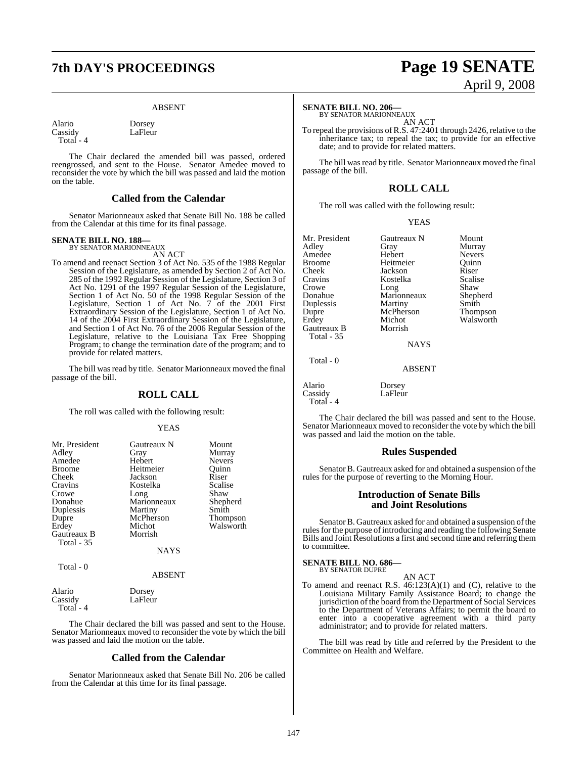## **7th DAY'S PROCEEDINGS Page 19 SENATE**

LaFleur

#### ABSENT

Alario Dorsey<br>Cassidy LaFleur Total - 4

The Chair declared the amended bill was passed, ordered reengrossed, and sent to the House. Senator Amedee moved to reconsider the vote by which the bill was passed and laid the motion on the table.

#### **Called from the Calendar**

Senator Marionneaux asked that Senate Bill No. 188 be called from the Calendar at this time for its final passage.

#### **SENATE BILL NO. 188—**

BY SENATOR MARIONNEAUX AN ACT

To amend and reenact Section 3 of Act No. 535 of the 1988 Regular Session of the Legislature, as amended by Section 2 of Act No. 285 of the 1992 Regular Session of the Legislature, Section 3 of Act No. 1291 of the 1997 Regular Session of the Legislature, Section 1 of Act No. 50 of the 1998 Regular Session of the Legislature, Section 1 of Act No. 7 of the 2001 First Extraordinary Session of the Legislature, Section 1 of Act No. 14 of the 2004 First Extraordinary Session of the Legislature, and Section 1 of Act No. 76 of the 2006 Regular Session of the Legislature, relative to the Louisiana Tax Free Shopping Program; to change the termination date of the program; and to provide for related matters.

The bill was read by title. Senator Marionneaux moved the final passage of the bill.

#### **ROLL CALL**

The roll was called with the following result:

#### YEAS

| Mr. President | Gautreaux N | Mount           |
|---------------|-------------|-----------------|
| Adley         | Gray        | Murray          |
| Amedee        | Hebert      | <b>Nevers</b>   |
| <b>Broome</b> | Heitmeier   | Ouinn           |
| Cheek         | Jackson     | Riser           |
| Cravins       | Kostelka    | Scalise         |
| Crowe         | Long        | Shaw            |
| Donahue       | Marionneaux | Shepherd        |
| Duplessis     | Martiny     | Smith           |
| Dupre         | McPherson   | <b>Thompson</b> |
| Erdey         | Michot      | Walsworth       |
| Gautreaux B   | Morrish     |                 |
| Total - 35    |             |                 |
|               | <b>NAYS</b> |                 |
| Total - 0     |             |                 |

#### ABSENT

LaFleur

Alario Dorsey<br>Cassidy LaFleu

Total - 4

The Chair declared the bill was passed and sent to the House. Senator Marionneaux moved to reconsider the vote by which the bill was passed and laid the motion on the table.

#### **Called from the Calendar**

Senator Marionneaux asked that Senate Bill No. 206 be called from the Calendar at this time for its final passage.

# April 9, 2008

#### **SENATE BILL NO. 206—**

BY SENATOR MARIONNEAUX AN ACT

To repeal the provisions of R.S. 47:2401 through 2426, relative to the inheritance tax; to repeal the tax; to provide for an effective date; and to provide for related matters.

The bill was read by title. Senator Marionneaux moved the final passage of the bill.

### **ROLL CALL**

The roll was called with the following result:

#### YEAS

Mr. President Gautreaux N Mount<br>Adley Gray Murray Amedee Hebert Nevers<br>Broome Heitmeier Quinn Broome Heitmeier Quinn<br>Cheek Iackson Riser Cravins Kostelka Scalise<br>Crowe Long Shaw Crowe Long Shaw Duplessis Martiny Smith<br>
Dupre McPherson Thompson Dupre McPherson<br>Erdey Michot Gautreaux B Total - 35

Jackson Marionneaux Sheph<br>Martiny Smith Michot Walsworth<br>Morrish

LaFleur

Gray Murray<br>Hebert Nevers

NAYS

#### ABSENT

Alario Dorsey<br>Cassidy LaFleu Total - 4

Total - 0

The Chair declared the bill was passed and sent to the House. Senator Marionneaux moved to reconsider the vote by which the bill was passed and laid the motion on the table.

#### **Rules Suspended**

Senator B. Gautreaux asked for and obtained a suspension of the rules for the purpose of reverting to the Morning Hour.

#### **Introduction of Senate Bills and Joint Resolutions**

Senator B. Gautreaux asked for and obtained a suspension of the rules for the purpose of introducing and reading the following Senate Bills and Joint Resolutions a first and second time and referring them to committee.

#### **SENATE BILL NO. 686—** BY SENATOR DUPRE

AN ACT

To amend and reenact R.S. 46:123(A)(1) and (C), relative to the Louisiana Military Family Assistance Board; to change the jurisdiction of the board from the Department of Social Services to the Department of Veterans Affairs; to permit the board to enter into a cooperative agreement with a third party administrator; and to provide for related matters.

The bill was read by title and referred by the President to the Committee on Health and Welfare.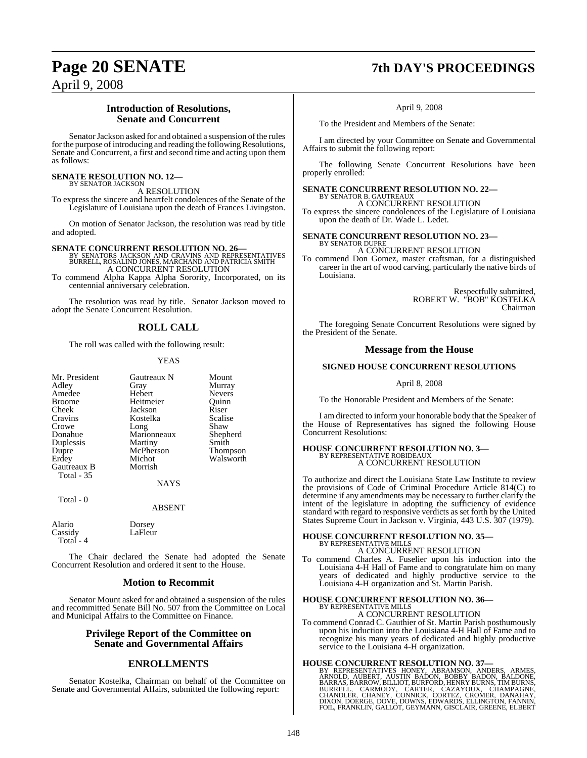## **Page 20 SENATE 7th DAY'S PROCEEDINGS**

April 9, 2008

### **Introduction of Resolutions, Senate and Concurrent**

Senator Jackson asked for and obtained a suspension of the rules for the purpose of introducing and reading the following Resolutions, Senate and Concurrent, a first and second time and acting upon them as follows:

#### **SENATE RESOLUTION NO. 12—** BY SENATOR JACKSON

A RESOLUTION

To express the sincere and heartfelt condolences of the Senate of the Legislature of Louisiana upon the death of Frances Livingston.

On motion of Senator Jackson, the resolution was read by title and adopted.

**SENATE CONCURRENT RESOLUTION NO. 26—**<br>BY SENATORS JACKSON AND CRAVINS AND REPRESENTATIVES<br>BURRELL, ROSALIND JONES, MARCHAND AND PATRICIA SMITH A CONCURRENT RESOLUTION

To commend Alpha Kappa Alpha Sorority, Incorporated, on its centennial anniversary celebration.

The resolution was read by title. Senator Jackson moved to adopt the Senate Concurrent Resolution.

### **ROLL CALL**

The roll was called with the following result:

#### YEAS

| Mr. President | Gautreaux N | Mount         |
|---------------|-------------|---------------|
| Adley         | Gray        | Murray        |
| Amedee        | Hebert      | <b>Nevers</b> |
| <b>Broome</b> | Heitmeier   | Ouinn         |
| Cheek         | Jackson     | Riser         |
| Cravins       | Kostelka    | Scalise       |
| Crowe         | Long        | Shaw          |
| Donahue       | Marionneaux | Shepherd      |
| Duplessis     | Martiny     | Smith         |
| Dupre         | McPherson   | Thompson      |
| Erdey         | Michot      | Walsworth     |
| Gautreaux B   | Morrish     |               |
| Total - 35    |             |               |
|               | <b>NAYS</b> |               |
| Total - 0     |             |               |
|               | ABSENT      |               |

LaFleur

Alario Dorsey<br>Cassidy LaFleu Total - 4

The Chair declared the Senate had adopted the Senate Concurrent Resolution and ordered it sent to the House.

#### **Motion to Recommit**

Senator Mount asked for and obtained a suspension of the rules and recommitted Senate Bill No. 507 from the Committee on Local and Municipal Affairs to the Committee on Finance.

#### **Privilege Report of the Committee on Senate and Governmental Affairs**

### **ENROLLMENTS**

Senator Kostelka, Chairman on behalf of the Committee on Senate and Governmental Affairs, submitted the following report:

April 9, 2008

To the President and Members of the Senate:

I am directed by your Committee on Senate and Governmental Affairs to submit the following report:

The following Senate Concurrent Resolutions have been properly enrolled:

**SENATE CONCURRENT RESOLUTION NO. 22—** BY SENATOR B. GAUTREAUX A CONCURRENT RESOLUTION

To express the sincere condolences of the Legislature of Louisiana upon the death of Dr. Wade L. Ledet.

**SENATE CONCURRENT RESOLUTION NO. 23—** BY SENATOR DUPRE A CONCURRENT RESOLUTION

To commend Don Gomez, master craftsman, for a distinguished career in the art of wood carving, particularly the native birds of Louisiana.

> Respectfully submitted, ROBERT W. "BOB" KOSTELKA Chairman

The foregoing Senate Concurrent Resolutions were signed by the President of the Senate.

#### **Message from the House**

#### **SIGNED HOUSE CONCURRENT RESOLUTIONS**

#### April 8, 2008

To the Honorable President and Members of the Senate:

I am directed to inform your honorable body that the Speaker of the House of Representatives has signed the following House Concurrent Resolutions:

# **HOUSE CONCURRENT RESOLUTION NO. 3—**<br>BY REPRESENTATIVE ROBIDEAUX<br>A CONCURRENT RESOLUTION

To authorize and direct the Louisiana State Law Institute to review the provisions of Code of Criminal Procedure Article 814(C) to determine if any amendments may be necessary to further clarify the intent of the legislature in adopting the sufficiency of evidence standard with regard to responsive verdicts as set forth by the United States Supreme Court in Jackson v. Virginia, 443 U.S. 307 (1979).

## **HOUSE CONCURRENT RESOLUTION NO. 35—** BY REPRESENTATIVE MILLS

A CONCURRENT RESOLUTION

To commend Charles A. Fuselier upon his induction into the Louisiana 4-H Hall of Fame and to congratulate him on many years of dedicated and highly productive service to the Louisiana 4-H organization and St. Martin Parish.

## **HOUSE CONCURRENT RESOLUTION NO. 36—** BY REPRESENTATIVE MILLS

A CONCURRENT RESOLUTION

To commend Conrad C. Gauthier of St. Martin Parish posthumously upon his induction into the Louisiana 4-H Hall of Fame and to recognize his many years of dedicated and highly productive

# service to the Louisiana 4-H organization.

HOUSE CONCURRENT RESOLUTION NO. 37—BY REPRESENTATIVES HONEY, ABRAMSON, ANDERS, ARMES, ARNES, ARNOLD, AUBERT, AUSTIN BADON, BOBBY BADON, BALDONE, BARRAS, BARROW, BLLIOT, BURFORD, HENRY BURNS, TIM BURNS, BURRELL, CARMODY, CA FOIL, FRANKLIN, GALLOT, GEYMANN, GISCLAIR, GREENE, ELBERT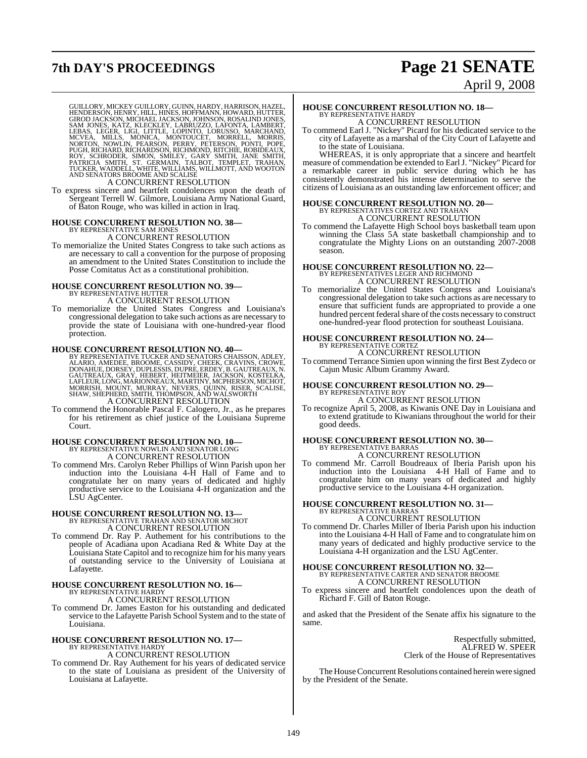## **7th DAY'S PROCEEDINGS Page 21 SENATE**

# April 9, 2008

GUILLORY, MICKEY GUILLORY, GUINN, HARDY, HARRISON, HAZEL,<br>HENDERSON, HENRY, HILL, HINES, HOFFMANN, HOWARD, HUTTER,<br>GIROD JACKSON, MICHAEL JACKSON, JOHNSON, ROSALIND JONES,<br>LEBAS, LEGER, LIGI, LITTLE, LOPINTO, LORUSON, MARC

A CONCURRENT RESOLUTION

To express sincere and heartfelt condolences upon the death of Sergeant Terrell W. Gilmore, Louisiana Army National Guard, of Baton Rouge, who was killed in action in Iraq.

## **HOUSE CONCURRENT RESOLUTION NO. 38—** BY REPRESENTATIVE SAM JONES

### A CONCURRENT RESOLUTION

To memorialize the United States Congress to take such actions as are necessary to call a convention for the purpose of proposing an amendment to the United States Constitution to include the Posse Comitatus Act as a constitutional prohibition.

#### **HOUSE CONCURRENT RESOLUTION NO. 39—**

BY REPRESENTATIVE HUTTER A CONCURRENT RESOLUTION

To memorialize the United States Congress and Louisiana's congressional delegation to take such actions as are necessary to provide the state of Louisiana with one-hundred-year flood protection.

#### **HOUSE CONCURRENT RESOLUTION NO. 40—**

BY REPRESENTATIVE TUCKER AND SENATORS CHAISSON, ADLEY,<br>ALARIO, AMEDEE, BROOME, CASSIDY, CHEEK, CRAVINS, CROWE,<br>DONAHUE, DORSEY, DUPLESSIS, DUPRE, ERDEY, B. GAUTREAUX, N.<br>GAUTREAUX, GRAY, HEBERT, HEITMEIER, JACKSON, KOSTELK A CONCURRENT RESOLUTION

To commend the Honorable Pascal F. Calogero, Jr., as he prepares for his retirement as chief justice of the Louisiana Supreme Court.

## **HOUSE CONCURRENT RESOLUTION NO. 10—** BY REPRESENTATIVE NOWLIN AND SENATOR LONG A CONCURRENT RESOLUTION

To commend Mrs. Carolyn Reber Phillips of Winn Parish upon her induction into the Louisiana 4-H Hall of Fame and to congratulate her on many years of dedicated and highly productive service to the Louisiana 4-H organization and the LSU AgCenter.

# **HOUSE CONCURRENT RESOLUTION NO. 13—**<br>BY REPRESENTATIVE TRAHAN AND SENATOR MICHOT A CONCURRENT RESOLUTION

To commend Dr. Ray P. Authement for his contributions to the people of Acadiana upon Acadiana Red & White Day at the Louisiana State Capitol and to recognize him for his many years of outstanding service to the University of Louisiana at Lafayette.

## **HOUSE CONCURRENT RESOLUTION NO. 16—** BY REPRESENTATIVE HARDY A CONCURRENT RESOLUTION

To commend Dr. James Easton for his outstanding and dedicated service to the Lafayette Parish School System and to the state of Louisiana.

## **HOUSE CONCURRENT RESOLUTION NO. 17—** BY REPRESENTATIVE HARDY

#### A CONCURRENT RESOLUTION

To commend Dr. Ray Authement for his years of dedicated service to the state of Louisiana as president of the University of Louisiana at Lafayette.

# **HOUSE CONCURRENT RESOLUTION NO. 18—** BY REPRESENTATIVE HARDY

A CONCURRENT RESOLUTION To commend Earl J. "Nickey" Picard for his dedicated service to the

city of Lafayette as a marshal of the City Court of Lafayette and to the state of Louisiana.

WHEREAS, it is only appropriate that a sincere and heartfelt measure of commendation be extended to EarlJ. "Nickey" Picard for a remarkable career in public service during which he has consistently demonstrated his intense determination to serve the citizens of Louisiana as an outstanding law enforcement officer; and

## **HOUSE CONCURRENT RESOLUTION NO. 20—** BY REPRESENTATIVES CORTEZ AND TRAHAN A CONCURRENT RESOLUTION

To commend the Lafayette High School boys basketball team upon winning the Class 5A state basketball championship and to congratulate the Mighty Lions on an outstanding 2007-2008 season.

## **HOUSE CONCURRENT RESOLUTION NO. 22—** BY REPRESENTATIVES LEGER AND RICHMOND A CONCURRENT RESOLUTION

To memorialize the United States Congress and Louisiana's congressional delegation to take such actions as are necessary to ensure that sufficient funds are appropriated to provide a one hundred percent federal share of the costs necessary to construct one-hundred-year flood protection for southeast Louisiana.

#### **HOUSE CONCURRENT RESOLUTION NO. 24—** BY REPRESENTATIVE CORTEZ

A CONCURRENT RESOLUTION

To commend Terrance Simien upon winning the first Best Zydeco or Cajun Music Album Grammy Award.

### **HOUSE CONCURRENT RESOLUTION NO. 29—** BY REPRESENTATIVE ROY A CONCURRENT RESOLUTION

To recognize April 5, 2008, as Kiwanis ONE Day in Louisiana and to extend gratitude to Kiwanians throughout the world for their good deeds.

#### **HOUSE CONCURRENT RESOLUTION NO. 30—** BY REPRESENTATIVE BARRA

A CONCURRENT RESOLUTION

To commend Mr. Carroll Boudreaux of Iberia Parish upon his induction into the Louisiana 4-H Hall of Fame and to congratulate him on many years of dedicated and highly productive service to the Louisiana 4-H organization.

## **HOUSE CONCURRENT RESOLUTION NO. 31—**

## BY REPRESENTATIVE BARRAS A CONCURRENT RESOLUTION

To commend Dr. Charles Miller of Iberia Parish upon his induction into the Louisiana 4-H Hall of Fame and to congratulate him on many years of dedicated and highly productive service to the Louisiana 4-H organization and the LSU AgCenter.

### **HOUSE CONCURRENT RESOLUTION NO. 32—** BY REPRESENTATIVE CARTER AND SENATOR BROOME A CONCURRENT RESOLUTION

To express sincere and heartfelt condolences upon the death of Richard F. Gill of Baton Rouge.

and asked that the President of the Senate affix his signature to the same.

> Respectfully submitted, ALFRED W. SPEER Clerk of the House of Representatives

The House Concurrent Resolutions contained herein were signed by the President of the Senate.